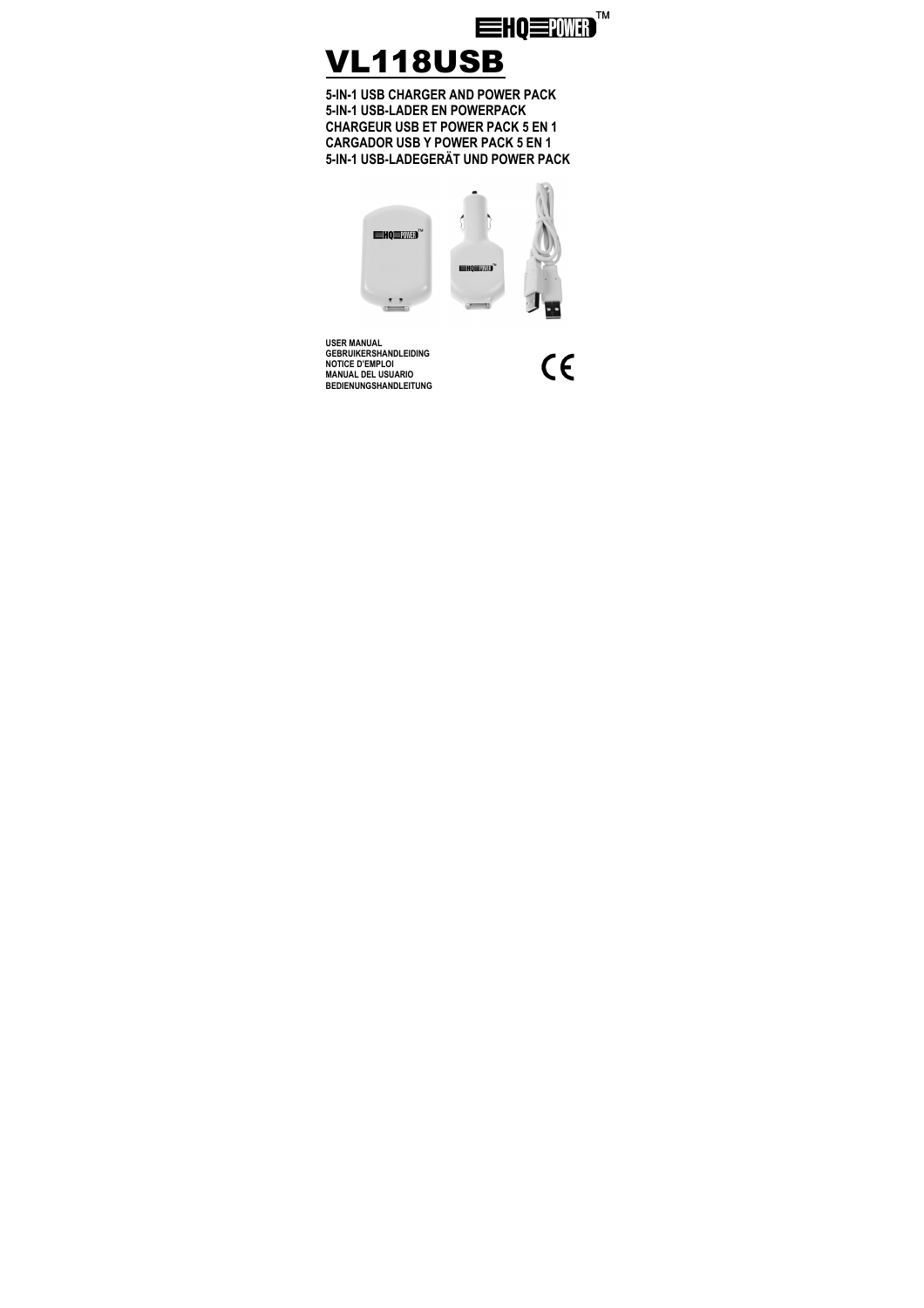

# VL118USB

**5-IN-1 USB CHARGER AND POWER PACK 5-IN-1 USB-LADER EN POWERPACK CHARGEUR USB ET POWER PACK 5 EN 1 CARGADOR USB Y POWER PACK 5 EN 1 5-IN-1 USB-LADEGERÄT UND POWER PACK** 



**USER MANUAL GEBRUIKERSHANDLEIDING NOTICE D'EMPLOI MANUAL DEL USUARIO BEDIENUNGSHANDLEITUNG** 

 $\epsilon$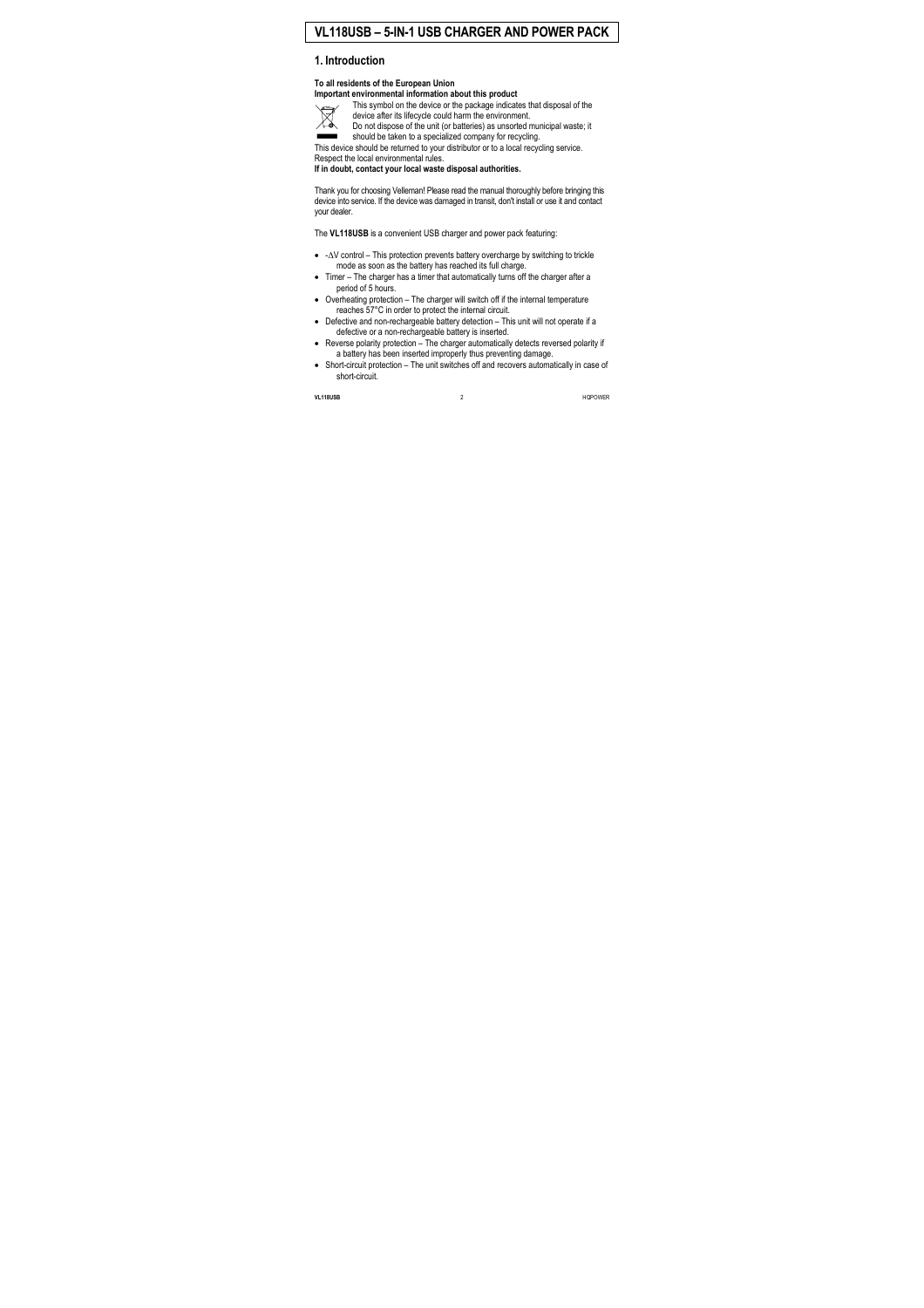# **VL118USB – 5-IN-1 USB CHARGER AND POWER PACK**

# **1. Introduction**

#### **To all residents of the European Union Important environmental information about this product**



This symbol on the device or the package indicates that disposal of the device after its lifecycle could harm the environment.

Do not dispose of the unit (or batteries) as unsorted municipal waste; it should be taken to a specialized company for recycling.

This device should be returned to your distributor or to a local recycling service. Respect the local environmental rules.

**If in doubt, contact your local waste disposal authorities.** 

Thank you for choosing Velleman! Please read the manual thoroughly before bringing this device into service. If the device was damaged in transit, don't install or use it and contact your dealer.

The **VL118USB** is a convenient USB charger and power pack featuring:

- -∆V control This protection prevents battery overcharge by switching to trickle mode as soon as the battery has reached its full charge.
- Timer The charger has a timer that automatically turns off the charger after a period of 5 hours.
- Overheating protection The charger will switch off if the internal temperature reaches 57°C in order to protect the internal circuit.
- Defective and non-rechargeable battery detection This unit will not operate if a defective or a non-rechargeable battery is inserted.
- Reverse polarity protection The charger automatically detects reversed polarity if a battery has been inserted improperly thus preventing damage.
- Short-circuit protection The unit switches off and recovers automatically in case of short-circuit.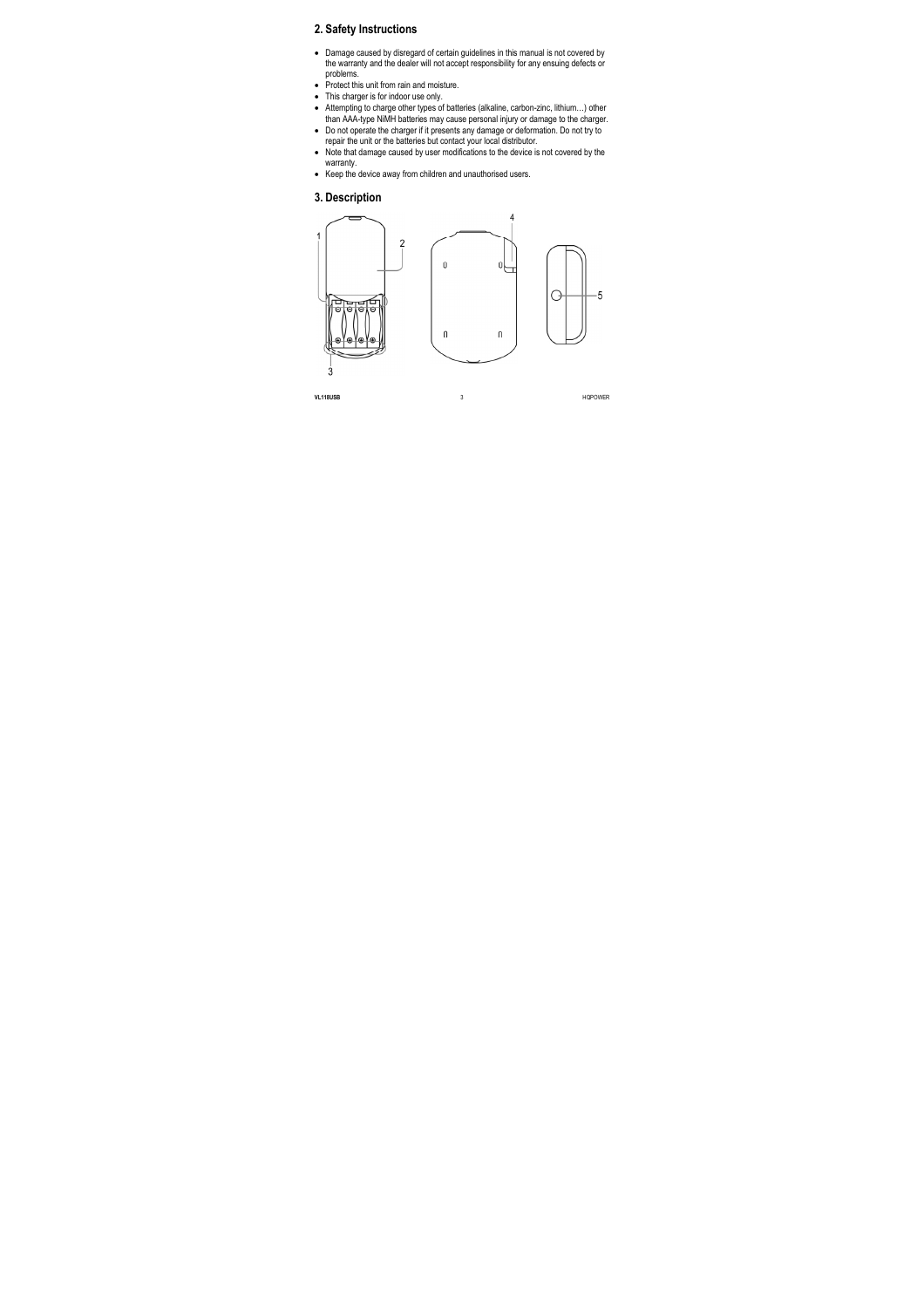# **2. Safety Instructions**

- Damage caused by disregard of certain guidelines in this manual is not covered by the warranty and the dealer will not accept responsibility for any ensuing defects or problems.
- Protect this unit from rain and moisture.
- This charger is for indoor use only.
- Attempting to charge other types of batteries (alkaline, carbon-zinc, lithium...) other than AAA-type NiMH batteries may cause personal injury or damage to the charger.
- Do not operate the charger if it presents any damage or deformation. Do not try to repair the unit or the batteries but contact your local distributor.
- Note that damage caused by user modifications to the device is not covered by the warranty.
- Keep the device away from children and unauthorised users.

#### **3. Description**

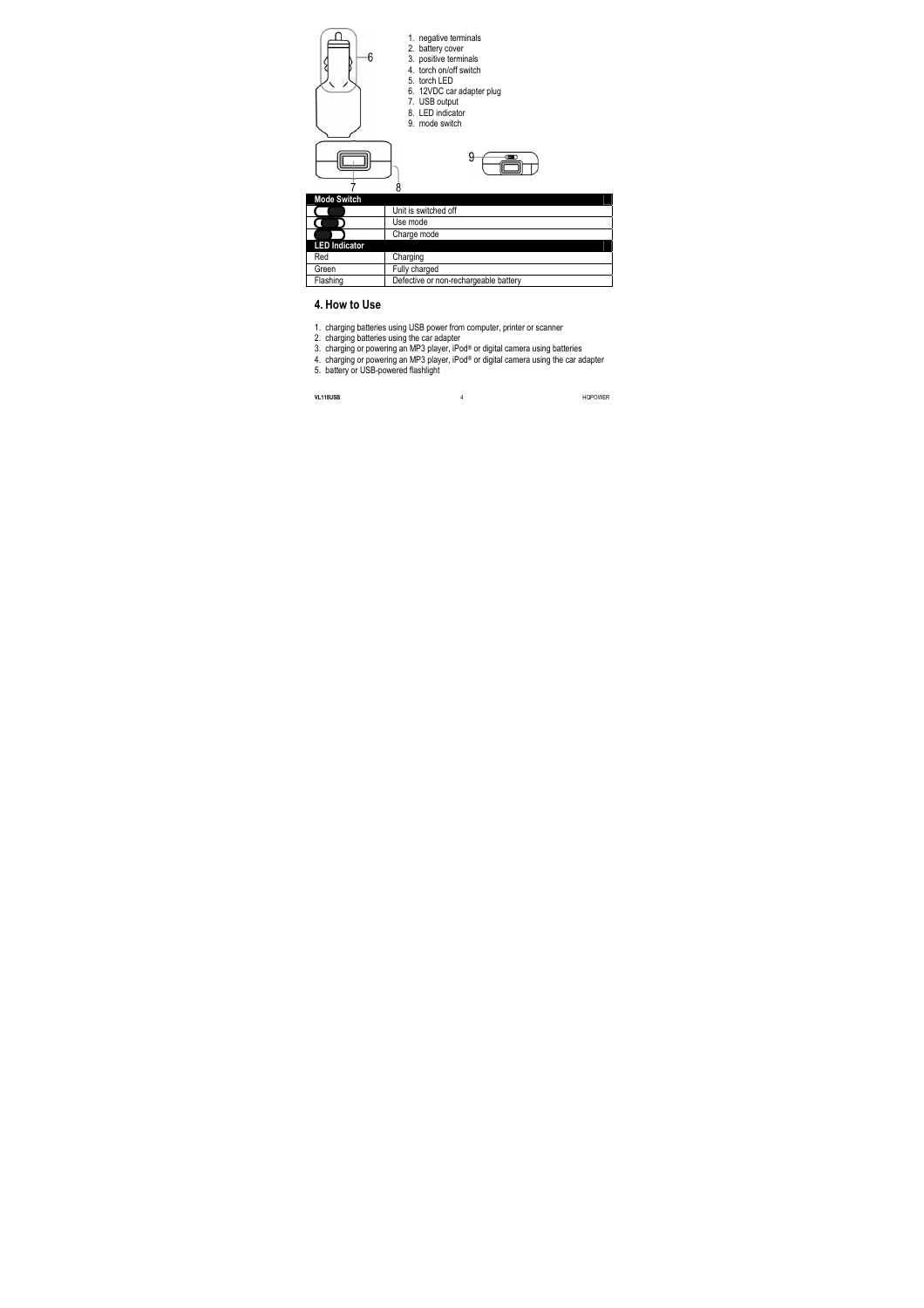



- 1. negative terminals
- 2. battery cover
- 3. positive terminals
- 4. torch on/off switch
- 5. torch LED
- 6. 12VDC car adapter plug
- 7. USB output
- 8. LED indicator
- 9. mode switch



| <b>Mode Switch</b>   |                                       |
|----------------------|---------------------------------------|
|                      | Unit is switched off                  |
|                      | Use mode                              |
|                      | Charge mode                           |
| <b>LED Indicator</b> |                                       |
| Red                  | Charging                              |
| Green                | Fully charged                         |
| Flashing             | Defective or non-rechargeable battery |

# **4. How to Use**

- 1. charging batteries using USB power from computer, printer or scanner
- 2. charging batteries using the car adapter
- 3. charging or powering an MP3 player, iPod<sup>®</sup> or digital camera using batteries
- 4. charging or powering an MP3 player, iPod® or digital camera using the car adapter
- 5. battery or USB-powered flashlight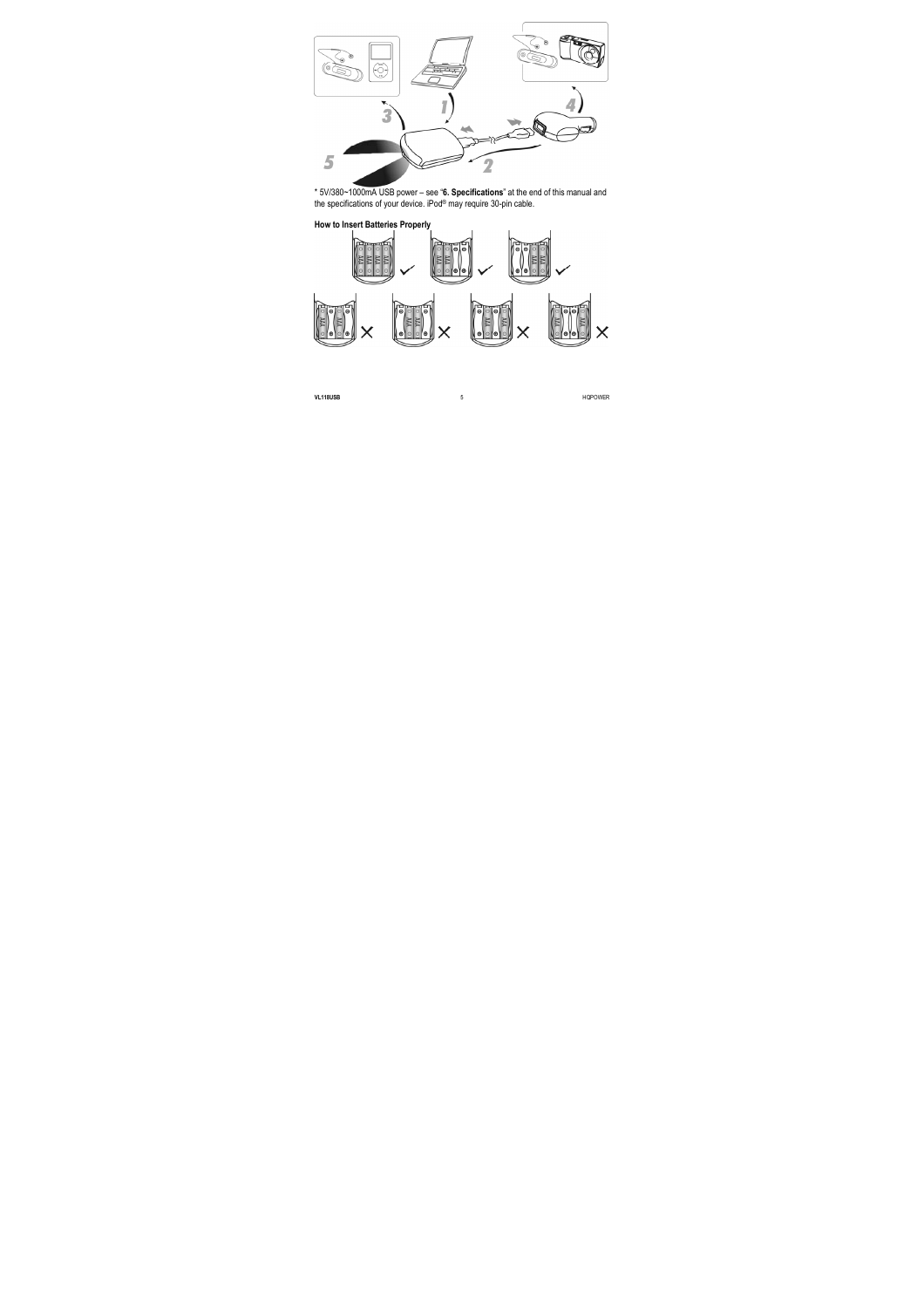

\* 5V/380~1000mA USB power – see "**6. Specifications**" at the end of this manual and the specifications of your device. iPod® may require 30-pin cable.

#### **How to Insert Batteries Properly**

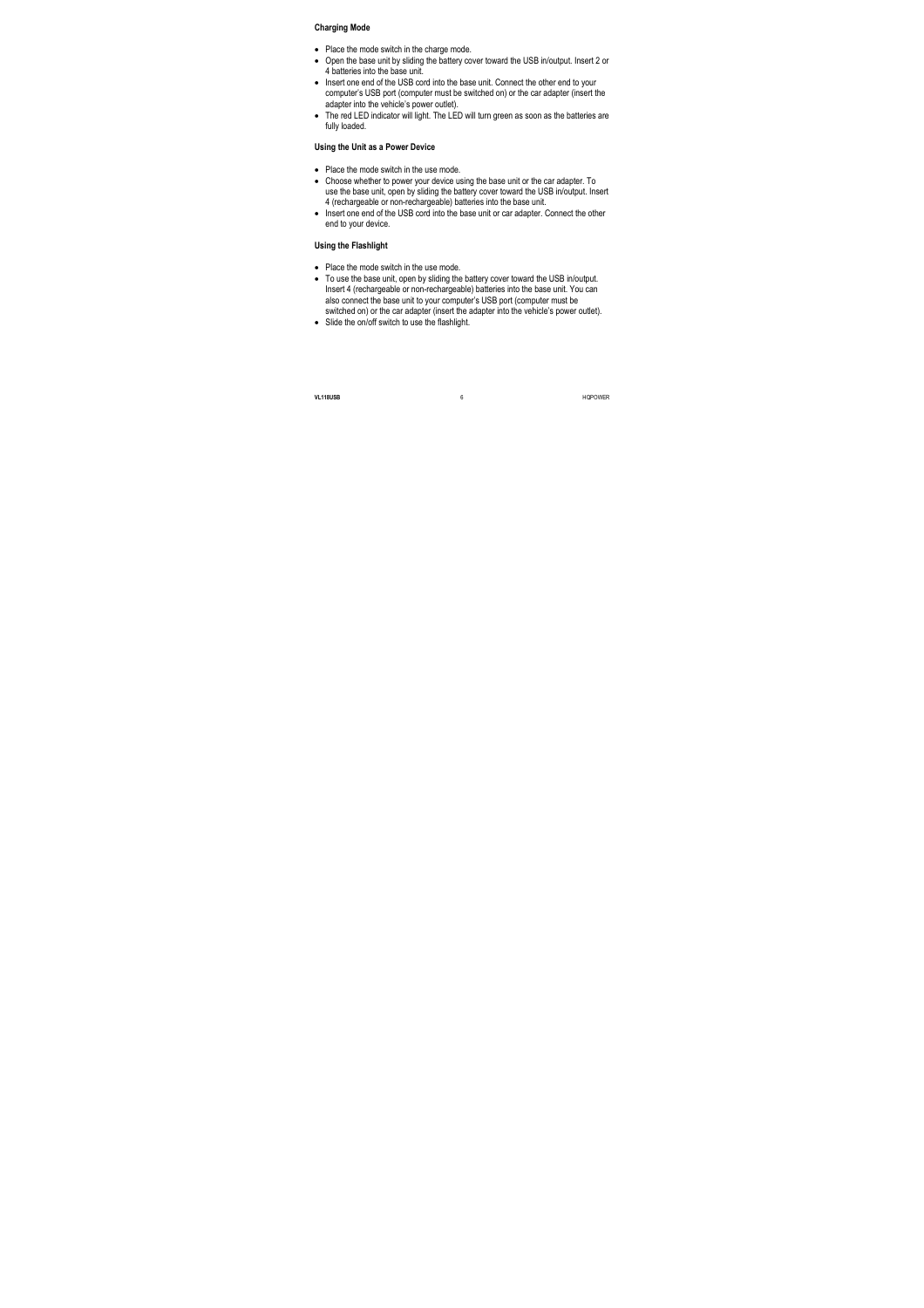#### **Charging Mode**

- Place the mode switch in the charge mode.
- Open the base unit by sliding the battery cover toward the USB in/output. Insert 2 or 4 batteries into the base unit.
- Insert one end of the USB cord into the base unit. Connect the other end to your computer's USB port (computer must be switched on) or the car adapter (insert the adapter into the vehicle's power outlet).
- The red LED indicator will light. The LED will turn green as soon as the batteries are fully loaded.

#### **Using the Unit as a Power Device**

- Place the mode switch in the use mode.
- Choose whether to power your device using the base unit or the car adapter. To use the base unit, open by sliding the battery cover toward the USB in/output. Insert 4 (rechargeable or non-rechargeable) batteries into the base unit.
- Insert one end of the USB cord into the base unit or car adapter. Connect the other end to your device.

#### **Using the Flashlight**

- Place the mode switch in the use mode.
- To use the base unit, open by sliding the battery cover toward the USB in/output. Insert 4 (rechargeable or non-rechargeable) batteries into the base unit. You can also connect the base unit to your computer's USB port (computer must be switched on) or the car adapter (insert the adapter into the vehicle's power outlet).
- Slide the on/off switch to use the flashlight.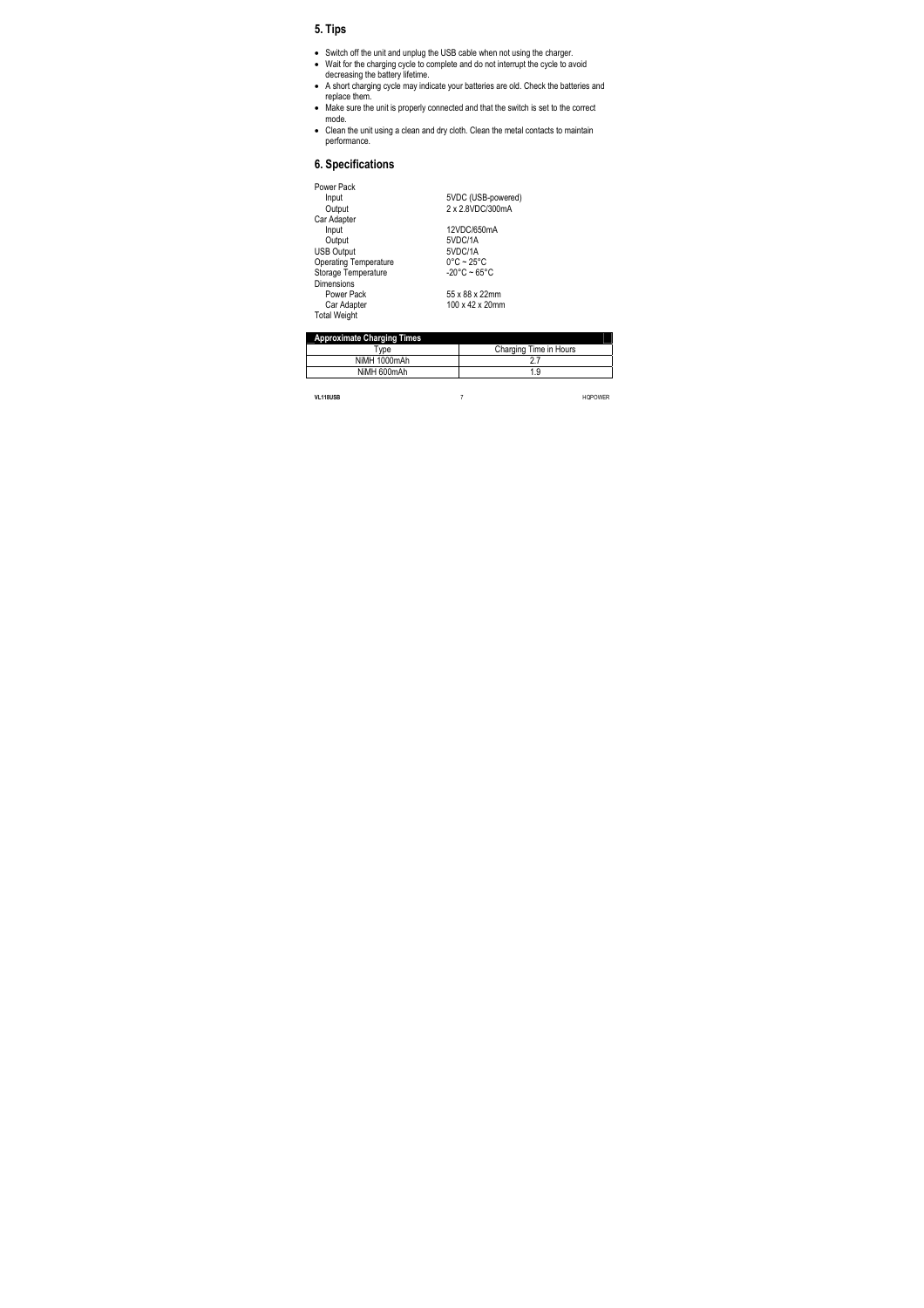# **5. Tips**

- Switch off the unit and unplug the USB cable when not using the charger.
- Wait for the charging cycle to complete and do not interrupt the cycle to avoid decreasing the battery lifetime.
- A short charging cycle may indicate your batteries are old. Check the batteries and replace them.
- Make sure the unit is properly connected and that the switch is set to the correct mode.
- Clean the unit using a clean and dry cloth. Clean the metal contacts to maintain performance.

# **6. Specifications**

| Power Pack                   |                                 |
|------------------------------|---------------------------------|
| Input                        | 5VDC (USB-powered)              |
| Output                       | 2 x 2.8VDC/300mA                |
| Car Adapter                  |                                 |
| Input                        | 12VDC/650mA                     |
| Output                       | 5VDC/1A                         |
| <b>USB Output</b>            | 5VDC/1A                         |
| <b>Operating Temperature</b> | $0^{\circ}$ C ~ 25 $^{\circ}$ C |
| Storage Temperature          | $-20^{\circ}$ C ~ 65°C          |
| Dimensions                   |                                 |
| Power Pack                   | 55 x 88 x 22mm                  |
| Car Adapter                  | 100 x 42 x 20mm                 |
| <b>Total Weight</b>          |                                 |

| <b>Approximate Charging Times</b> |                        |
|-----------------------------------|------------------------|
| <b>Type</b>                       | Charging Time in Hours |
| NiMH 1000mAh                      |                        |
| NiMH 600mAh                       | 1.9                    |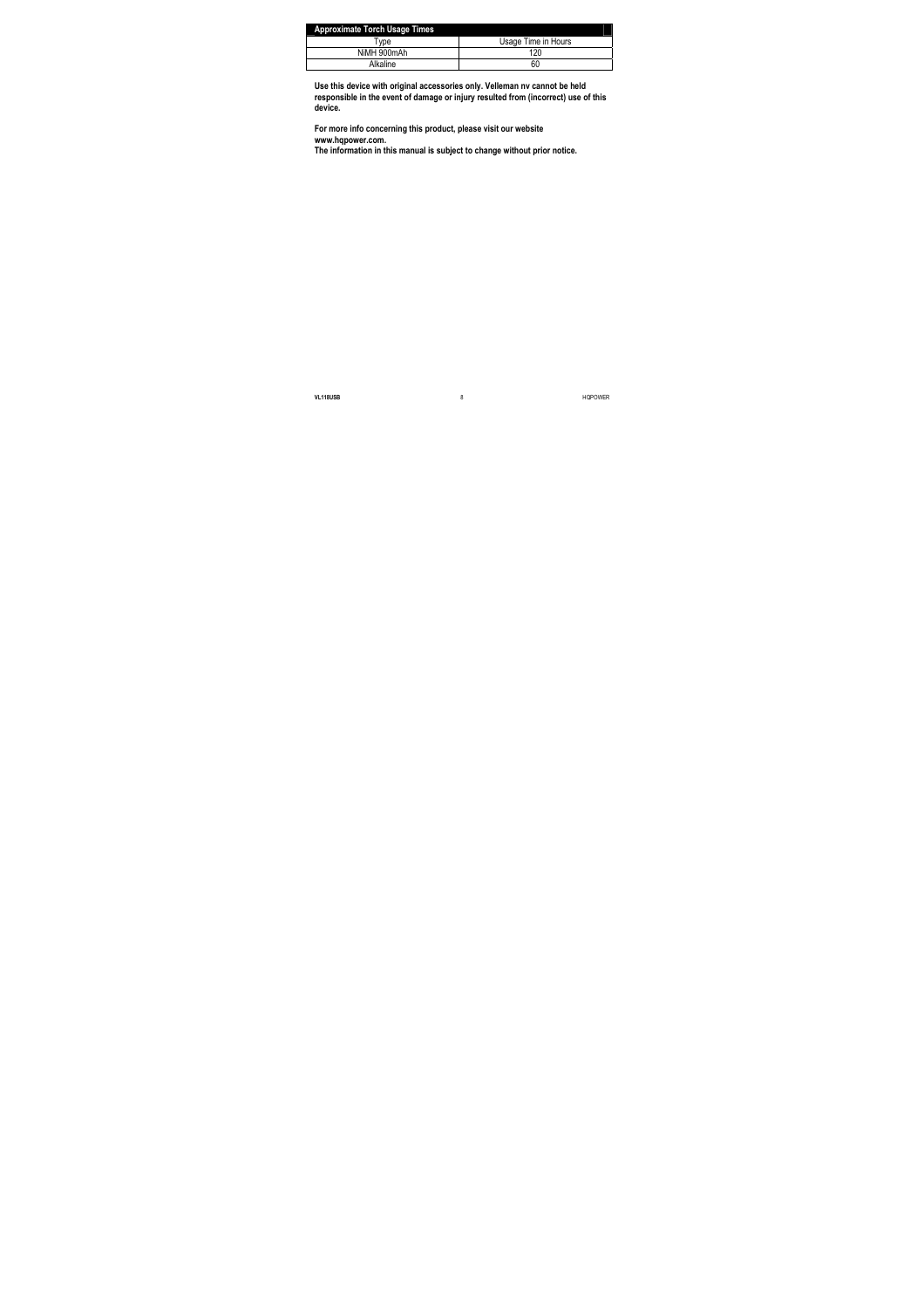| <b>Approximate Torch Usage Times</b> |                     |
|--------------------------------------|---------------------|
| vpe                                  | Usage Time in Hours |
| NiMH 900mAh                          | 120                 |
| Alkaline                             | 60                  |

**Use this device with original accessories only. Velleman nv cannot be held responsible in the event of damage or injury resulted from (incorrect) use of this device.** 

**For more info concerning this product, please visit our website www.hqpower.com.** 

**The information in this manual is subject to change without prior notice.**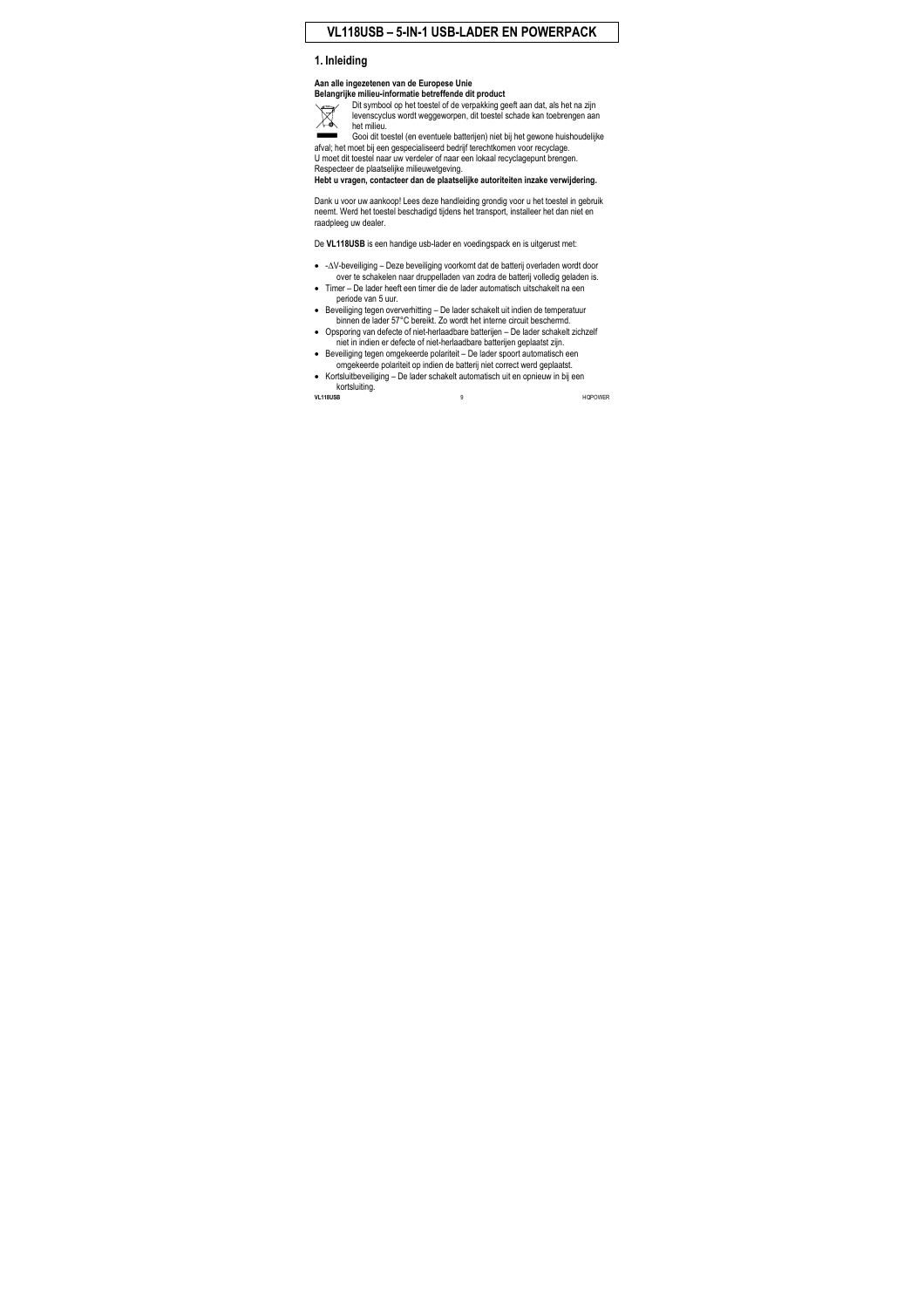# **VL118USB – 5-IN-1 USB-LADER EN POWERPACK**

# **1. Inleiding**

#### **Aan alle ingezetenen van de Europese Unie Belangrijke milieu-informatie betreffende dit product**



Dit symbool op het toestel of de verpakking geeft aan dat, als het na zijn levenscyclus wordt weggeworpen, dit toestel schade kan toebrengen aan het milieu.

Gooi dit toestel (en eventuele batterijen) niet bij het gewone huishoudelijke afval; het moet bij een gespecialiseerd bedrijf terechtkomen voor recyclage. U moet dit toestel naar uw verdeler of naar een lokaal recyclagepunt brengen. Respecteer de plaatselijke milieuwetgeving.

**Hebt u vragen, contacteer dan de plaatselijke autoriteiten inzake verwijdering.** 

Dank u voor uw aankoop! Lees deze handleiding grondig voor u het toestel in gebruik neemt. Werd het toestel beschadigd tijdens het transport, installeer het dan niet en raadpleeg uw dealer.

De **VL118USB** is een handige usb-lader en voedingspack en is uitgerust met:

- -∆V-beveiliging Deze beveiliging voorkomt dat de batterij overladen wordt door over te schakelen naar druppelladen van zodra de batterij volledig geladen is.
- Timer De lader heeft een timer die de lader automatisch uitschakelt na een periode van 5 uur.
- Beveiliging tegen oververhitting De lader schakelt uit indien de temperatuur binnen de lader 57°C bereikt. Zo wordt het interne circuit beschermd.
- Opsporing van defecte of niet-herlaadbare batterijen De lader schakelt zichzelf niet in indien er defecte of niet-herlaadbare batterijen geplaatst zijn.
- Beveiliging tegen omgekeerde polariteit De lader spoort automatisch een omgekeerde polariteit op indien de batterij niet correct werd geplaatst.
- Kortsluitbeveiliging De lader schakelt automatisch uit en opnieuw in bij een kortsluiting.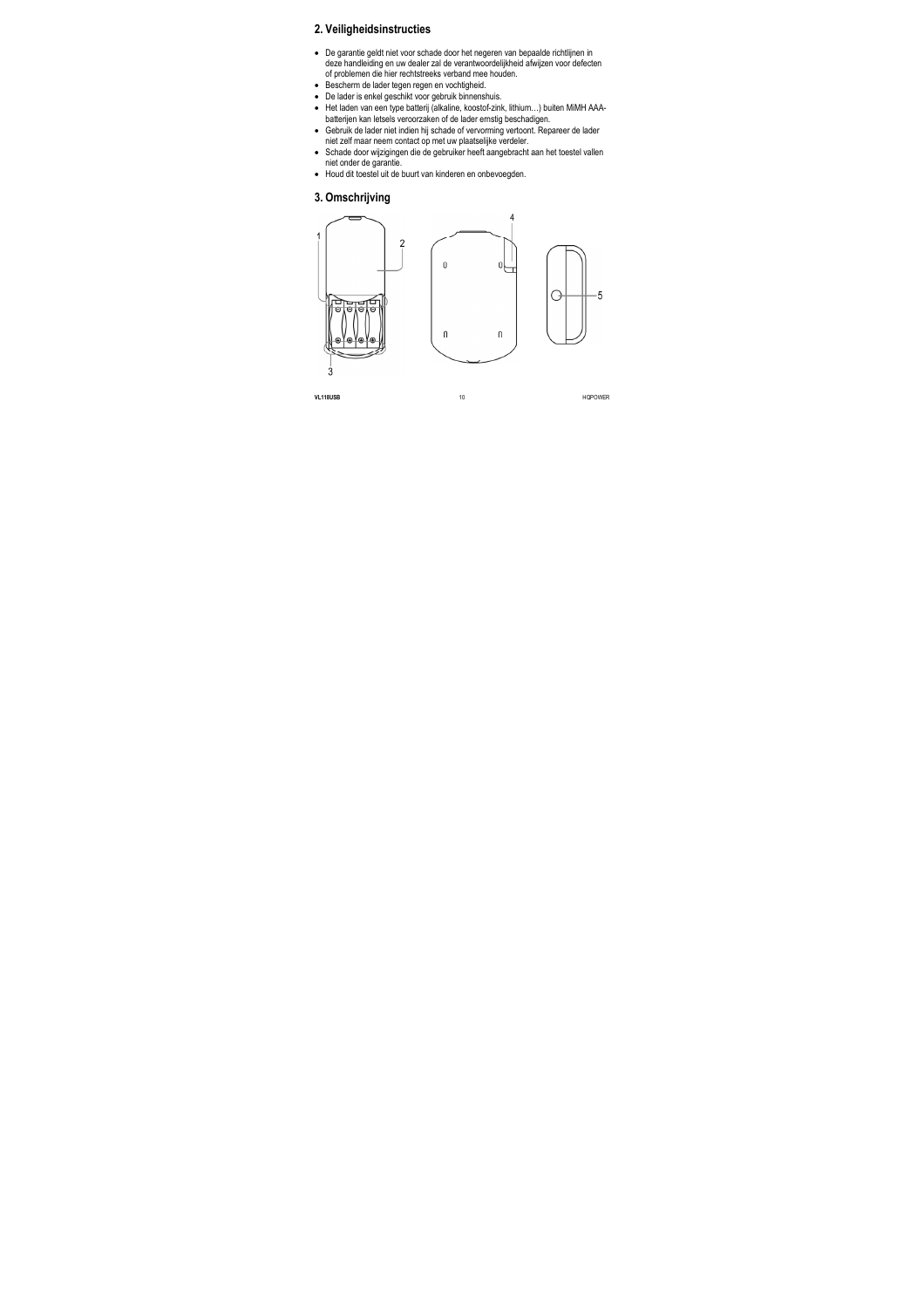# **2. Veiligheidsinstructies**

- De garantie geldt niet voor schade door het negeren van bepaalde richtlijnen in deze handleiding en uw dealer zal de verantwoordelijkheid afwijzen voor defecten of problemen die hier rechtstreeks verband mee houden.
- Bescherm de lader tegen regen en vochtigheid.
- De lader is enkel geschikt voor gebruik binnenshuis.
- Het laden van een type batterij (alkaline, koostof-zink, lithium…) buiten MiMH AAAbatterijen kan letsels veroorzaken of de lader ernstig beschadigen.
- Gebruik de lader niet indien hij schade of vervorming vertoont. Repareer de lader niet zelf maar neem contact op met uw plaatselijke verdeler.
- Schade door wijzigingen die de gebruiker heeft aangebracht aan het toestel vallen niet onder de garantie.
- Houd dit toestel uit de buurt van kinderen en onbevoegden.

### **3. Omschrijving**

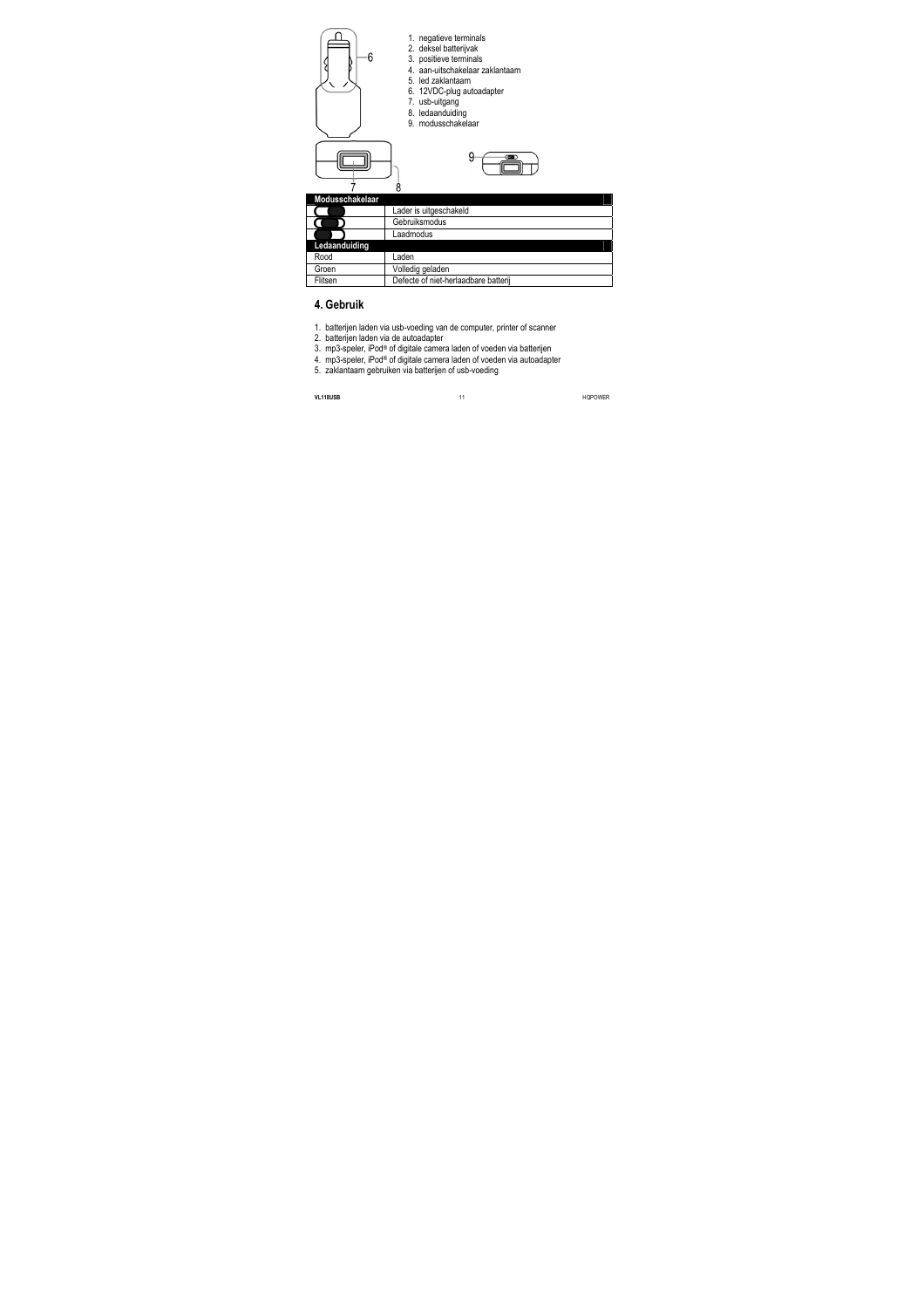



- 1. negatieve terminals
- 2. deksel batterijvak
- 3. positieve terminals
- 4. aan-uitschakelaar zaklantaarn
- 5. led zaklantaarn
- 6. 12VDC-plug autoadapter
- 7. usb-uitgang
- 8. ledaanduiding
- 9. modusschakelaar



| Modusschakelaar |                                      |
|-----------------|--------------------------------------|
|                 | Lader is uitgeschakeld               |
|                 | Gebruiksmodus                        |
|                 | Laadmodus                            |
| Ledaanduiding   |                                      |
| Rood            | Laden                                |
| Groen           | Volledig geladen                     |
| Flitsen         | Defecte of niet-herlaadbare batterij |

# **4. Gebruik**

- 1. batterijen laden via usb-voeding van de computer, printer of scanner
- 2. batterijen laden via de autoadapter
- 3. mp3-speler, iPod® of digitale camera laden of voeden via batterijen
- 4. mp3-speler, iPod® of digitale camera laden of voeden via autoadapter
- 5. zaklantaarn gebruiken via batterijen of usb-voeding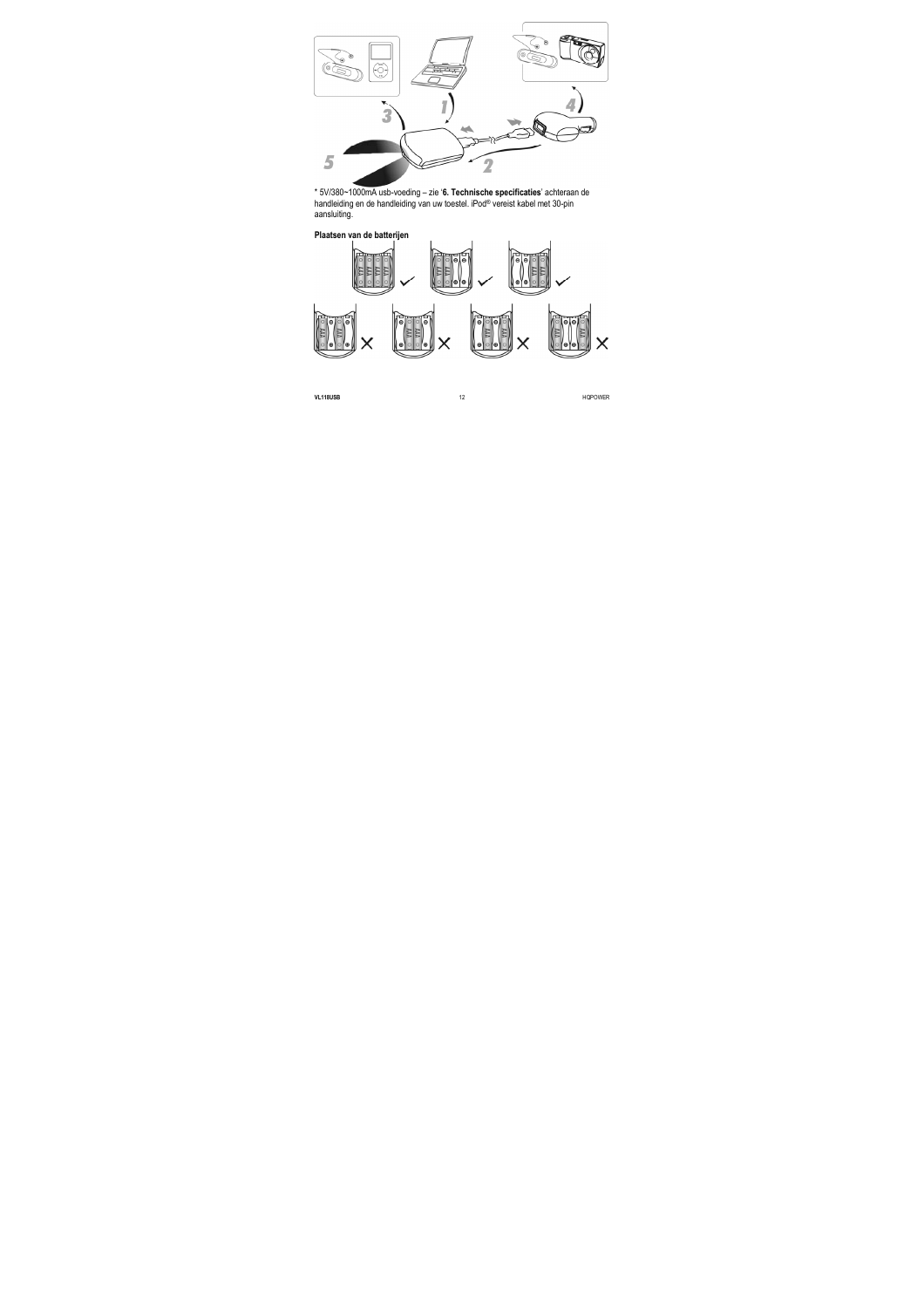

\* 5V/380~1000mA usb-voeding – zie '**6. Technische specificaties**' achteraan de handleiding en de handleiding van uw toestel. iPod® vereist kabel met 30-pin aansluiting.



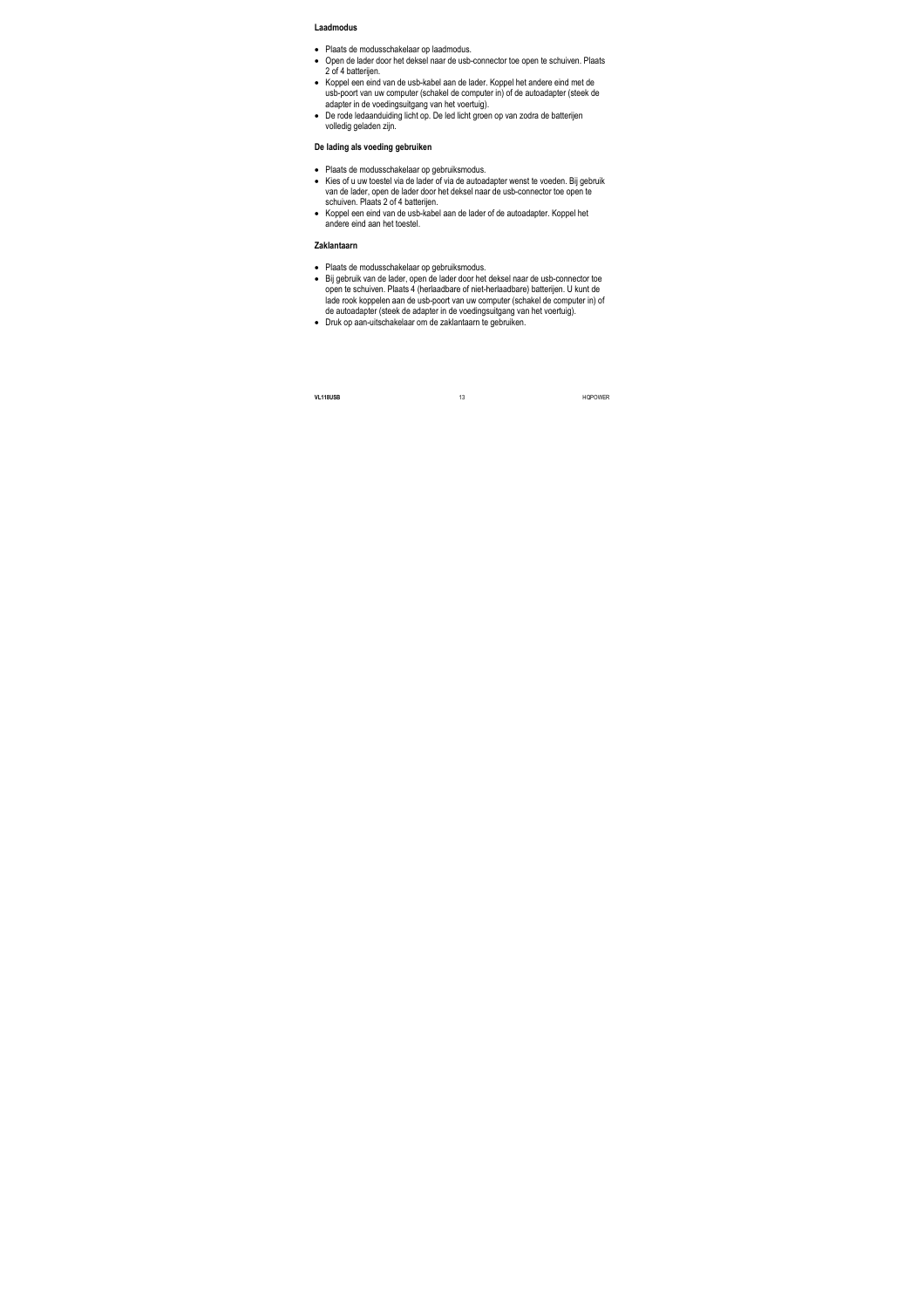#### **Laadmodus**

- Plaats de modusschakelaar op laadmodus.
- Open de lader door het deksel naar de usb-connector toe open te schuiven. Plaats 2 of 4 batterijen.
- Koppel een eind van de usb-kabel aan de lader. Koppel het andere eind met de usb-poort van uw computer (schakel de computer in) of de autoadapter (steek de adapter in de voedingsuitgang van het voertuig).
- De rode ledaanduiding licht op. De led licht groen op van zodra de batterijen volledig geladen zijn.

#### **De lading als voeding gebruiken**

- Plaats de modusschakelaar op gebruiksmodus.
- Kies of u uw toestel via de lader of via de autoadapter wenst te voeden. Bij gebruik van de lader, open de lader door het deksel naar de usb-connector toe open te schuiven. Plaats 2 of 4 batterijen.
- Koppel een eind van de usb-kabel aan de lader of de autoadapter. Koppel het andere eind aan het toestel.

#### **Zaklantaarn**

- Plaats de modusschakelaar op gebruiksmodus.
- Bij gebruik van de lader, open de lader door het deksel naar de usb-connector toe open te schuiven. Plaats 4 (herlaadbare of niet-herlaadbare) batterijen. U kunt de lade rook koppelen aan de usb-poort van uw computer (schakel de computer in) of de autoadapter (steek de adapter in de voedingsuitgang van het voertuig).
- Druk op aan-uitschakelaar om de zaklantaarn te gebruiken.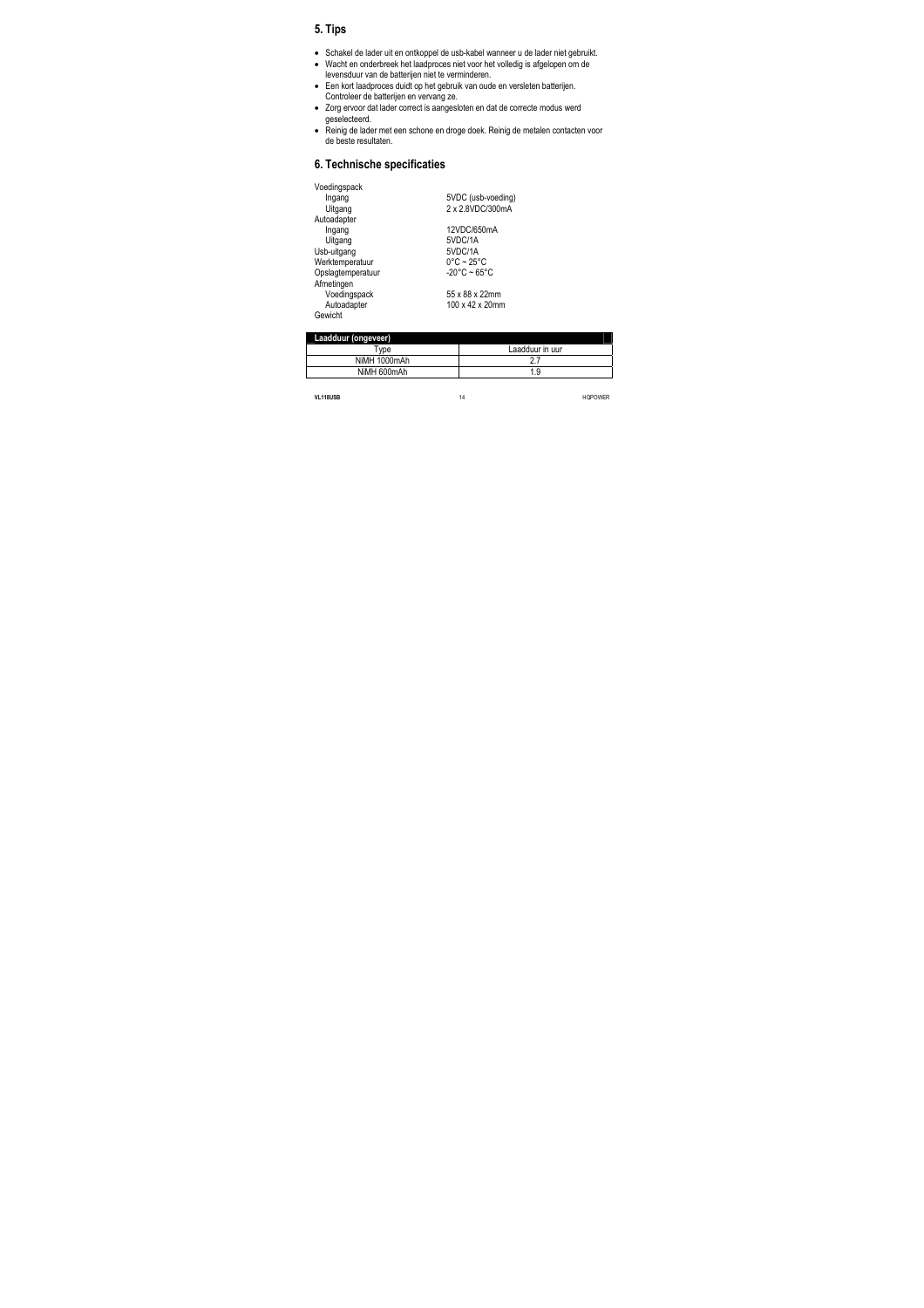# **5. Tips**

- Schakel de lader uit en ontkoppel de usb-kabel wanneer u de lader niet gebruikt.
- Wacht en onderbreek het laadproces niet voor het volledig is afgelopen om de levensduur van de batterijen niet te verminderen.
- Een kort laadproces duidt op het gebruik van oude en versleten batterijen. Controleer de batterijen en vervang ze.
- Zorg ervoor dat lader correct is aangesloten en dat de correcte modus werd geselecteerd.
- Reinig de lader met een schone en droge doek. Reinig de metalen contacten voor de beste resultaten.

# **6. Technische specificaties**

| Voedingspack      |                                 |
|-------------------|---------------------------------|
| Ingang            | 5VDC (usb-voeding)              |
| Uitgang           | 2 x 2.8VDC/300mA                |
| Autoadapter       |                                 |
| Ingang            | 12VDC/650mA                     |
| Uitgang           | 5VDC/1A                         |
| Usb-uitgang       | 5VDC/1A                         |
| Werktemperatuur   | $0^{\circ}$ C ~ 25 $^{\circ}$ C |
| Opslagtemperatuur | $-20^{\circ}$ C ~ 65°C          |
| Afmetingen        |                                 |
| Voedingspack      | 55 x 88 x 22mm                  |
| Autoadapter       | 100 x 42 x 20mm                 |
| Gewicht           |                                 |

| Laadduur (ongeveer) |                 |
|---------------------|-----------------|
| Tvpe                | Laadduur in uur |
| NiMH 1000mAh        |                 |
| NiMH 600mAh         | 1.9             |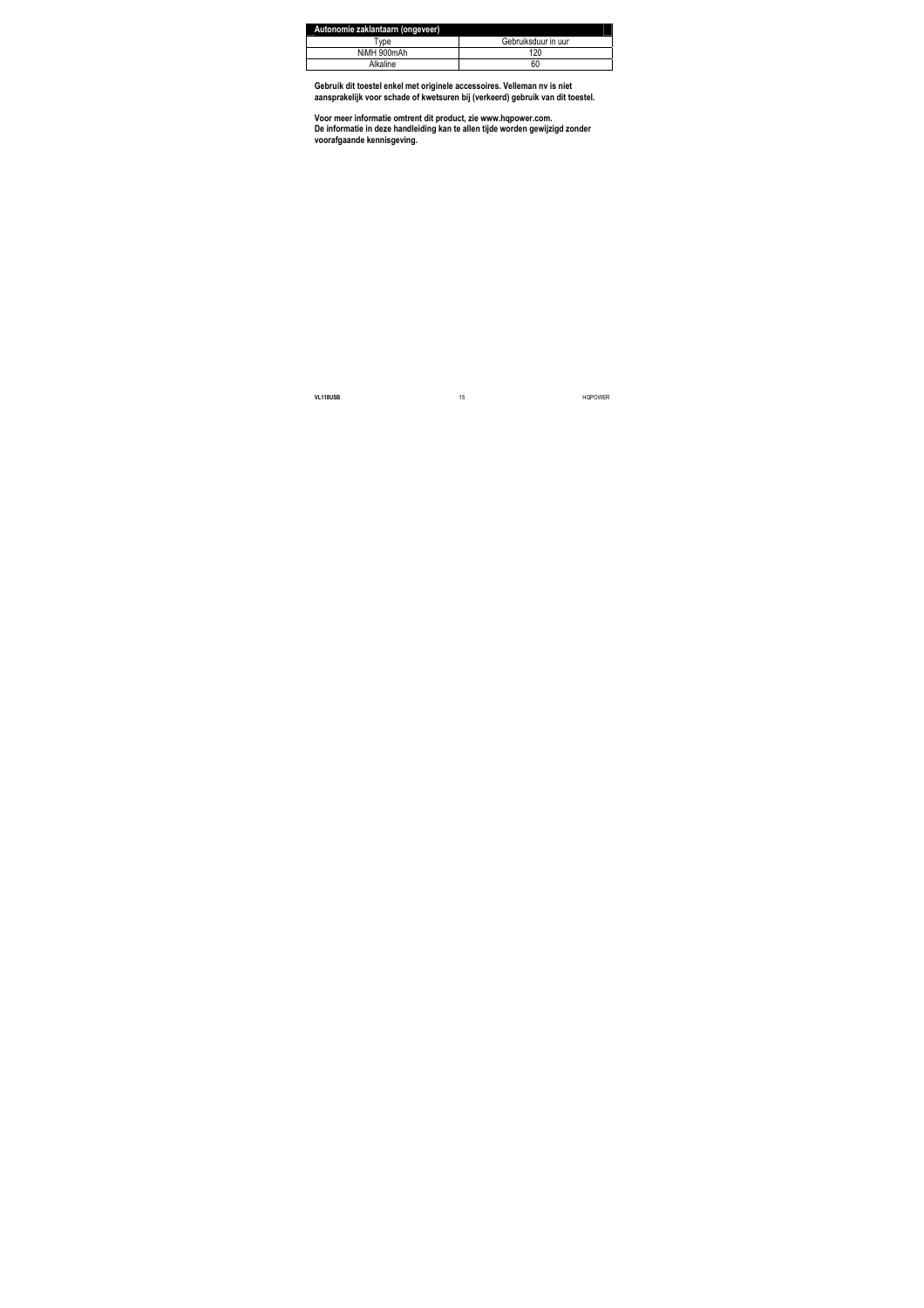| Autonomie zaklantaarn (ongeveer) |                     |
|----------------------------------|---------------------|
| vpe'                             | Gebruiksduur in uur |
| NiMH 900mAh                      | 120                 |
| Alkaline                         | 60                  |

**Gebruik dit toestel enkel met originele accessoires. Velleman nv is niet aansprakelijk voor schade of kwetsuren bij (verkeerd) gebruik van dit toestel.** 

**Voor meer informatie omtrent dit product, zie www.hqpower.com. De informatie in deze handleiding kan te allen tijde worden gewijzigd zonder voorafgaande kennisgeving.**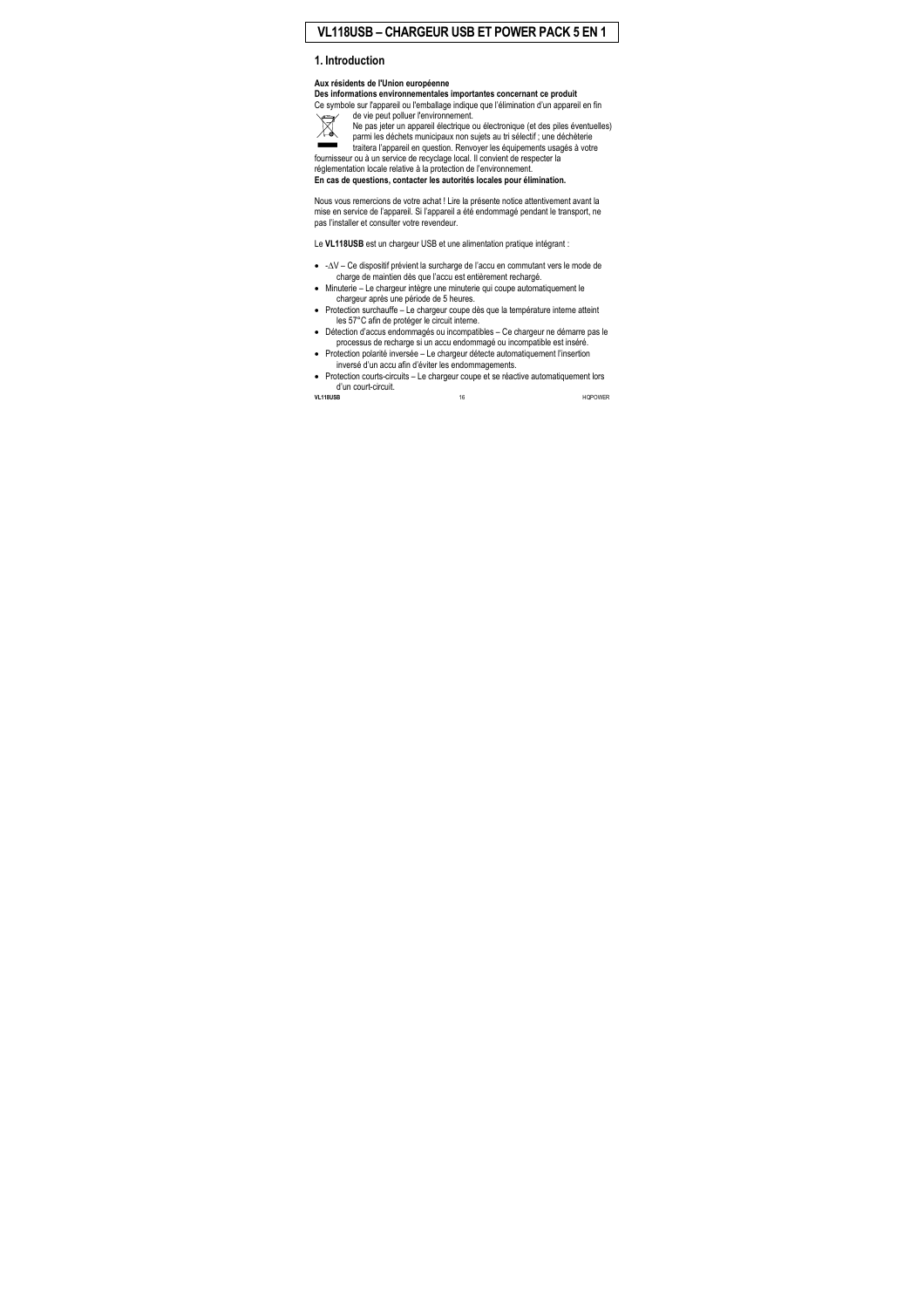# **VL118USB – CHARGEUR USB ET POWER PACK 5 EN 1**

# **1. Introduction**

#### **Aux résidents de l'Union européenne**

**Des informations environnementales importantes concernant ce produit**  Ce symbole sur l'appareil ou l'emballage indique que l'élimination d'un appareil en fin



de vie peut polluer l'environnement.

Ne pas jeter un appareil électrique ou électronique (et des piles éventuelles) parmi les déchets municipaux non sujets au tri sélectif ; une déchèterie traitera l'appareil en question. Renvoyer les équipements usagés à votre

fournisseur ou à un service de recyclage local. Il convient de respecter la réglementation locale relative à la protection de l'environnement.

**En cas de questions, contacter les autorités locales pour élimination.** 

Nous vous remercions de votre achat ! Lire la présente notice attentivement avant la mise en service de l'appareil. Si l'appareil a été endommagé pendant le transport, ne pas l'installer et consulter votre revendeur.

Le **VL118USB** est un chargeur USB et une alimentation pratique intégrant :

- -∆V Ce dispositif prévient la surcharge de l'accu en commutant vers le mode de charge de maintien dès que l'accu est entièrement rechargé.
- Minuterie Le chargeur intègre une minuterie qui coupe automatiquement le chargeur après une période de 5 heures.
- Protection surchauffe Le chargeur coupe dès que la température interne atteint les 57°C afin de protéger le circuit interne.
- Détection d'accus endommagés ou incompatibles Ce chargeur ne démarre pas le processus de recharge si un accu endommagé ou incompatible est inséré.
- Protection polarité inversée Le chargeur détecte automatiquement l'insertion inversé d'un accu afin d'éviter les endommagements.
- Protection courts-circuits Le chargeur coupe et se réactive automatiquement lors d'un court-circuit.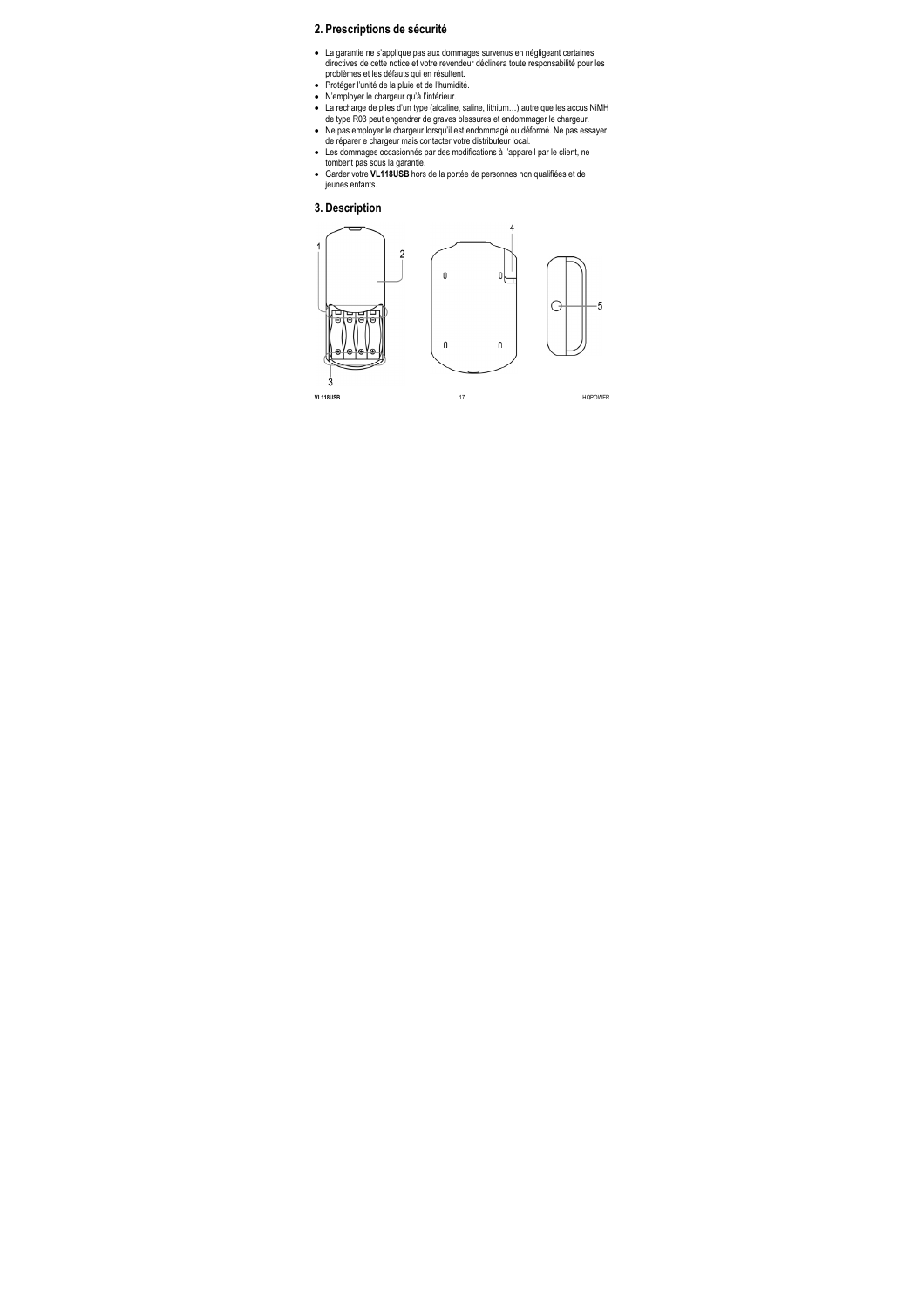# **2. Prescriptions de sécurité**

- La garantie ne s'applique pas aux dommages survenus en négligeant certaines directives de cette notice et votre revendeur déclinera toute responsabilité pour les problèmes et les défauts qui en résultent.
- Protéger l'unité de la pluie et de l'humidité.
- N'employer le chargeur qu'à l'intérieur.
- La recharge de piles d'un type (alcaline, saline, lithium…) autre que les accus NiMH de type R03 peut engendrer de graves blessures et endommager le chargeur.
- Ne pas employer le chargeur lorsqu'il est endommagé ou déformé. Ne pas essayer de réparer e chargeur mais contacter votre distributeur local.
- Les dommages occasionnés par des modifications à l'appareil par le client, ne tombent pas sous la garantie.
- Garder votre **VL118USB** hors de la portée de personnes non qualifiées et de jeunes enfants.

### **3. Description**

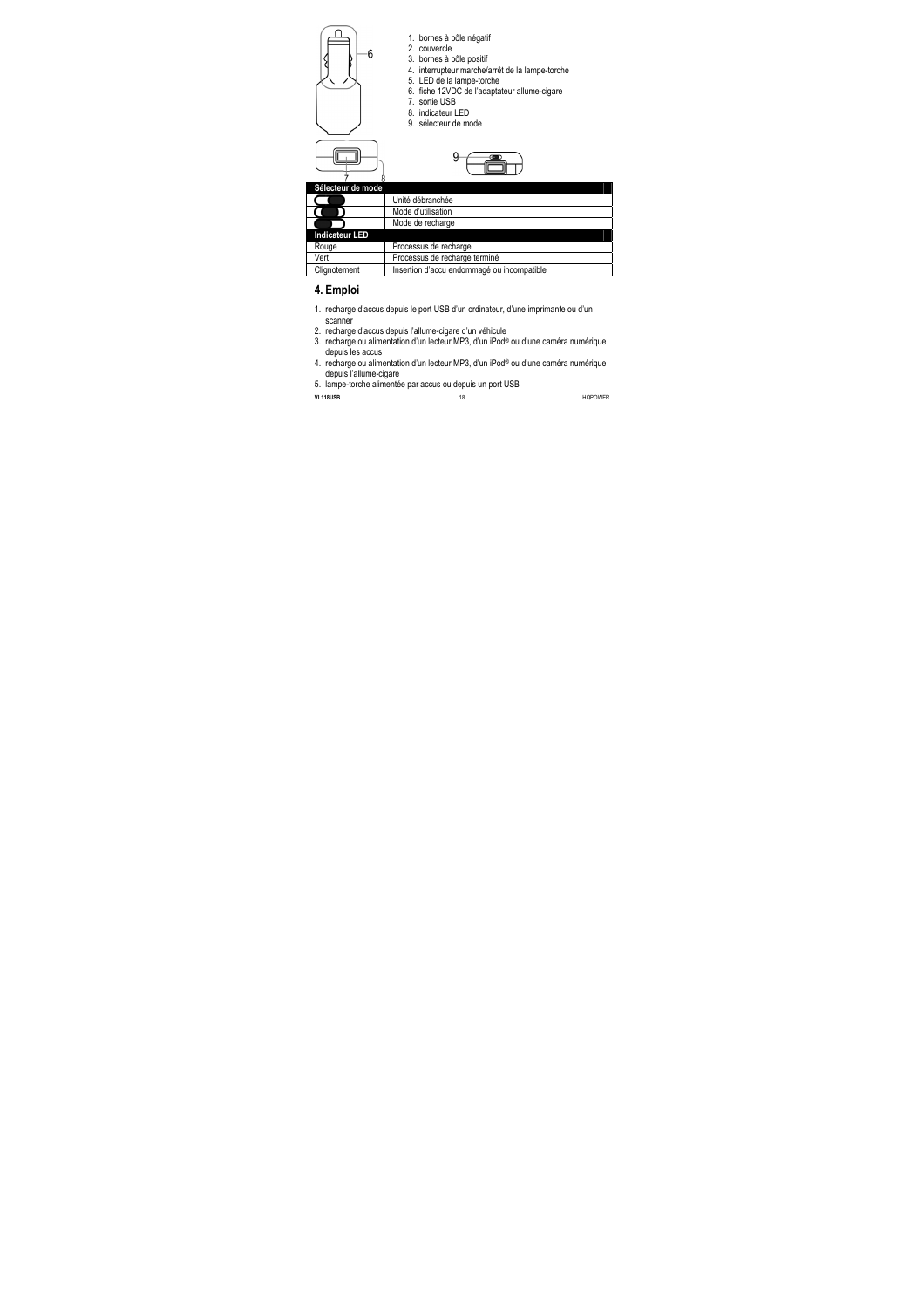



1. bornes à pôle négatif

2. couvercle

- 3. bornes à pôle positif
- 4. interrupteur marche/arrêt de la lampe-torche
- 5. LED de la lampe-torche
- 6. fiche 12VDC de l'adaptateur allume-cigare
- 7. sortie USB
- 8. indicateur LED
- 9. sélecteur de mode



| Sélecteur de mode     |                                            |
|-----------------------|--------------------------------------------|
|                       | Unité débranchée                           |
|                       | Mode d'utilisation                         |
|                       | Mode de recharge                           |
| <b>Indicateur LED</b> |                                            |
| Rouge                 | Processus de recharge                      |
| Vert                  | Processus de recharge terminé              |
| Clignotement          | Insertion d'accu endommagé ou incompatible |

# **4. Emploi**

- 1. recharge d'accus depuis le port USB d'un ordinateur, d'une imprimante ou d'un scanner
- 2. recharge d'accus depuis l'allume-cigare d'un véhicule
- 3. recharge ou alimentation d'un lecteur MP3, d'un iPod® ou d'une caméra numérique depuis les accus
- 4. recharge ou alimentation d'un lecteur MP3, d'un iPod® ou d'une caméra numérique depuis l'allume-cigare
- 5. lampe-torche alimentée par accus ou depuis un port USB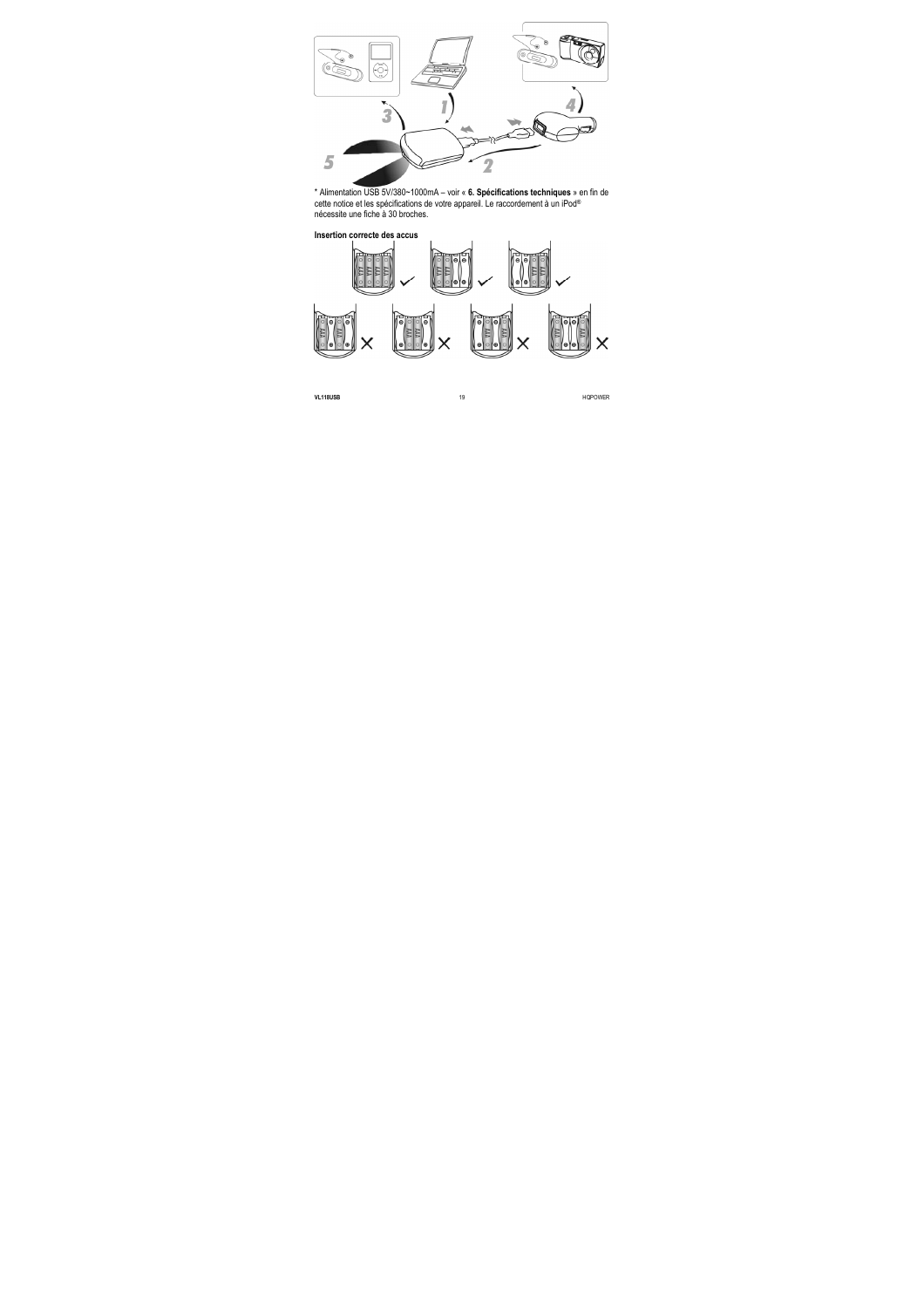

\* Alimentation USB 5V/380~1000mA – voir « **6. Spécifications techniques** » en fin de cette notice et les spécifications de votre appareil. Le raccordement à un iPod® nécessite une fiche à 30 broches.



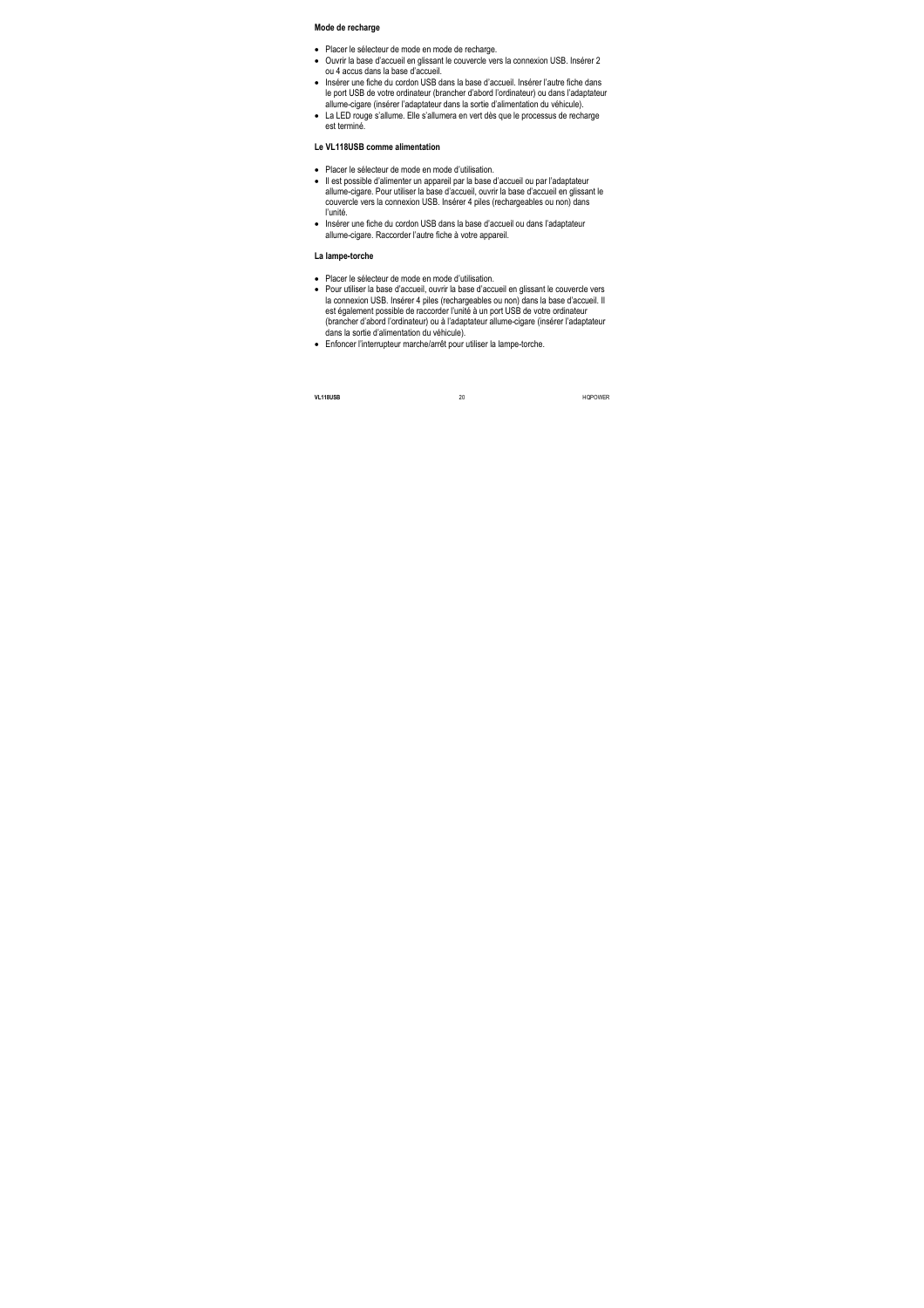#### **Mode de recharge**

- Placer le sélecteur de mode en mode de recharge.
- Ouvrir la base d'accueil en glissant le couvercle vers la connexion USB. Insérer 2 ou 4 accus dans la base d'accueil.
- Insérer une fiche du cordon USB dans la base d'accueil. Insérer l'autre fiche dans le port USB de votre ordinateur (brancher d'abord l'ordinateur) ou dans l'adaptateur allume-cigare (insérer l'adaptateur dans la sortie d'alimentation du véhicule).
- La LED rouge s'allume. Elle s'allumera en vert dès que le processus de recharge est terminé.

#### **Le VL118USB comme alimentation**

- Placer le sélecteur de mode en mode d'utilisation.
- Il est possible d'alimenter un appareil par la base d'accueil ou par l'adaptateur allume-cigare. Pour utiliser la base d'accueil, ouvrir la base d'accueil en glissant le couvercle vers la connexion USB. Insérer 4 piles (rechargeables ou non) dans l'unité.
- Insérer une fiche du cordon USB dans la base d'accueil ou dans l'adaptateur allume-cigare. Raccorder l'autre fiche à votre appareil.

#### **La lampe-torche**

- Placer le sélecteur de mode en mode d'utilisation.
- Pour utiliser la base d'accueil, ouvrir la base d'accueil en glissant le couvercle vers la connexion USB. Insérer 4 piles (rechargeables ou non) dans la base d'accueil. Il est également possible de raccorder l'unité à un port USB de votre ordinateur (brancher d'abord l'ordinateur) ou à l'adaptateur allume-cigare (insérer l'adaptateur dans la sortie d'alimentation du véhicule).
- Enfoncer l'interrupteur marche/arrêt pour utiliser la lampe-torche.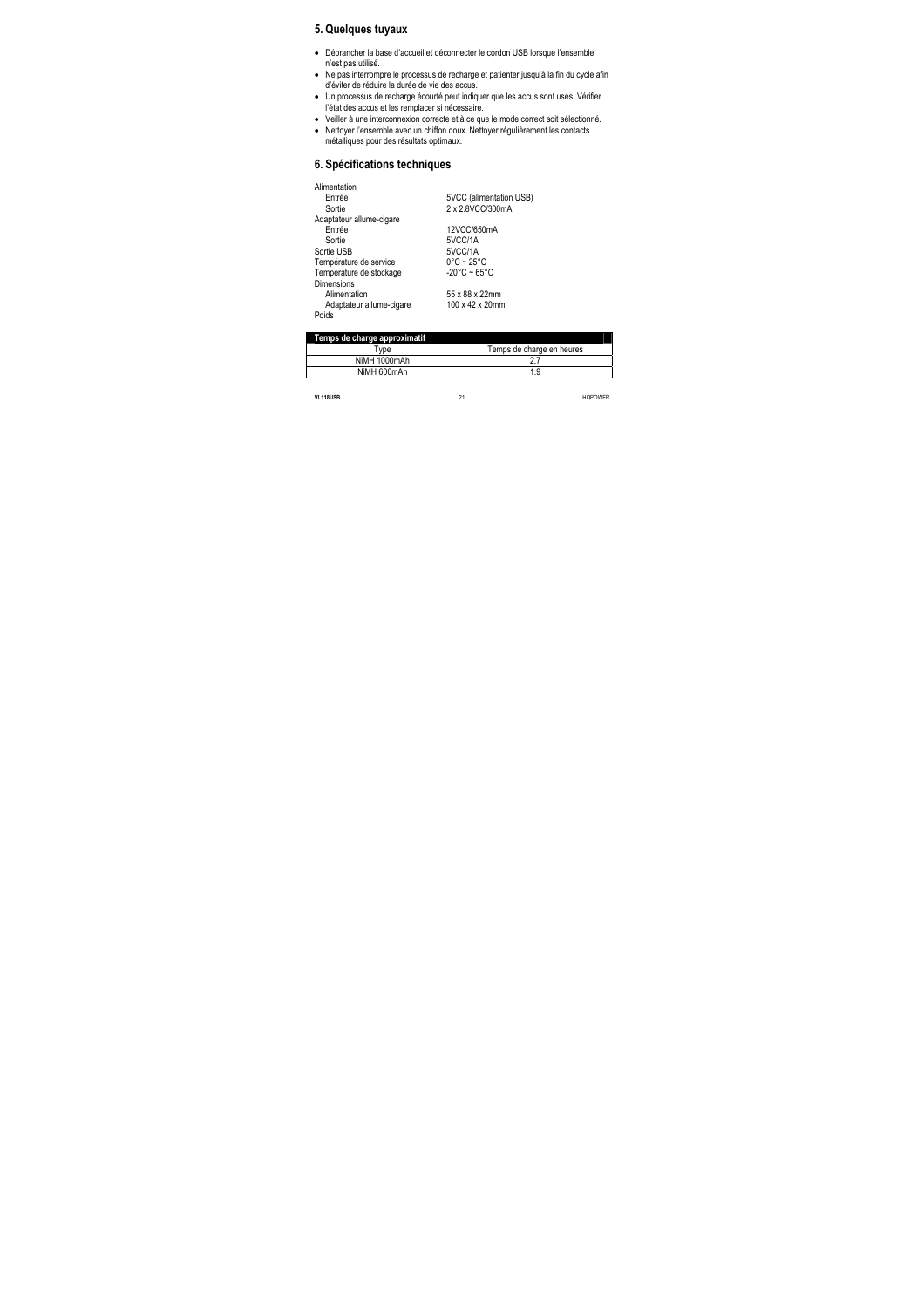# **5. Quelques tuyaux**

- Débrancher la base d'accueil et déconnecter le cordon USB lorsque l'ensemble n'est pas utilisé.
- Ne pas interrompre le processus de recharge et patienter jusqu'à la fin du cycle afin d'éviter de réduire la durée de vie des accus.
- Un processus de recharge écourté peut indiquer que les accus sont usés. Vérifier l'état des accus et les remplacer si nécessaire.
- Veiller à une interconnexion correcte et à ce que le mode correct soit sélectionné.
- Nettoyer l'ensemble avec un chiffon doux. Nettoyer régulièrement les contacts métalliques pour des résultats optimaux.

# **6. Spécifications techniques**

| Alimentation             |                                 |
|--------------------------|---------------------------------|
| Entrée                   | 5VCC (alimentation USB)         |
| Sortie                   | 2 x 2.8VCC/300mA                |
| Adaptateur allume-cigare |                                 |
| Entrée                   | 12VCC/650mA                     |
| Sortie                   | 5VCC/1A                         |
| Sortie USB               | 5VCC/1A                         |
| Température de service   | $0^{\circ}$ C ~ 25 $^{\circ}$ C |
| Température de stockage  | $-20^{\circ}$ C ~ 65°C          |
| Dimensions               |                                 |
| Alimentation             | 55 x 88 x 22mm                  |
| Adaptateur allume-cigare | 100 x 42 x 20mm                 |
| Poids                    |                                 |
|                          |                                 |

| Temps de charge approximatif |                           |
|------------------------------|---------------------------|
| <b>Type</b>                  | Temps de charge en heures |
| NiMH 1000mAh                 |                           |
| NiMH 600mAh                  | 1.9                       |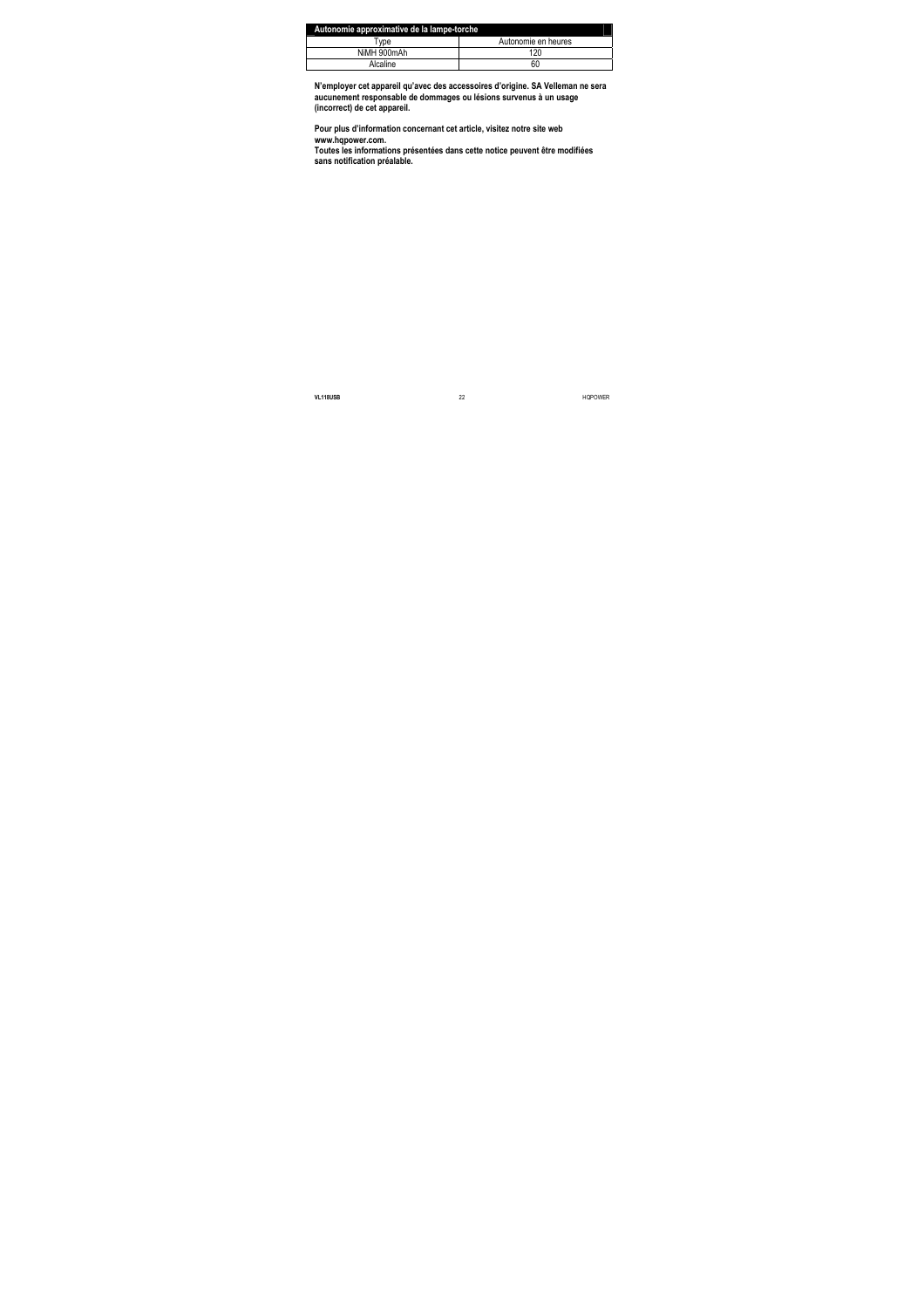| Autonomie approximative de la lampe-torche |                     |  |
|--------------------------------------------|---------------------|--|
| Tvpe                                       | Autonomie en heures |  |
| NiMH 900mAh                                | 120                 |  |
| Alcaline                                   | 60                  |  |

**N'employer cet appareil qu'avec des accessoires d'origine. SA Velleman ne sera aucunement responsable de dommages ou lésions survenus à un usage (incorrect) de cet appareil.** 

**Pour plus d'information concernant cet article, visitez notre site web www.hqpower.com.** 

**Toutes les informations présentées dans cette notice peuvent être modifiées sans notification préalable.**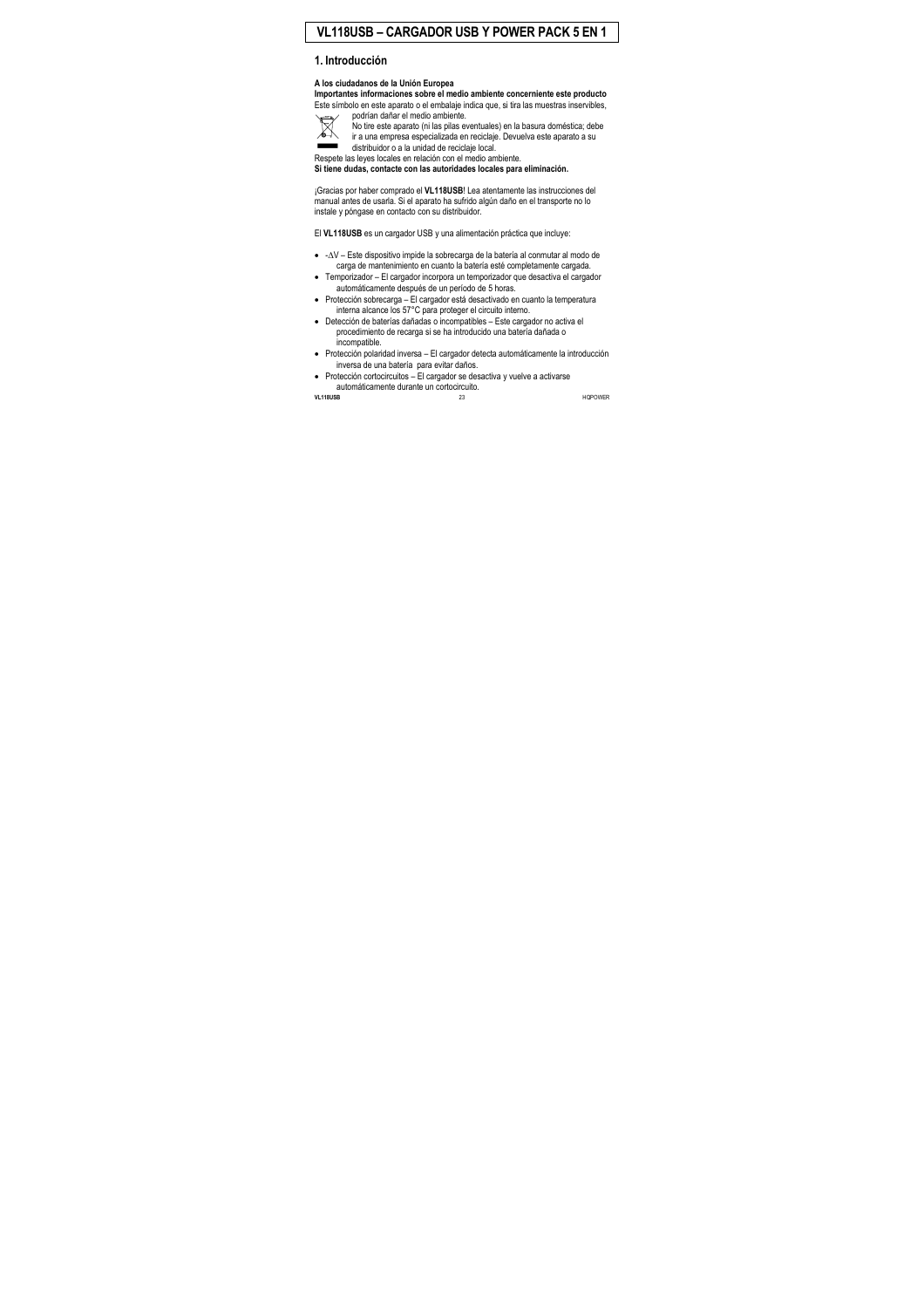# **VL118USB – CARGADOR USB Y POWER PACK 5 EN 1**

# **1. Introducción**

#### **A los ciudadanos de la Unión Europea**

**Importantes informaciones sobre el medio ambiente concerniente este producto**  Este símbolo en este aparato o el embalaje indica que, si tira las muestras inservibles,



No tire este aparato (ni las pilas eventuales) en la basura doméstica; debe ir a una empresa especializada en reciclaje. Devuelva este aparato a su distribuidor o a la unidad de reciclaje local.

Respete las leyes locales en relación con el medio ambiente.

podrían dañar el medio ambiente.

**Si tiene dudas, contacte con las autoridades locales para eliminación.** 

¡Gracias por haber comprado el **VL118USB**! Lea atentamente las instrucciones del manual antes de usarla. Si el aparato ha sufrido algún daño en el transporte no lo instale y póngase en contacto con su distribuidor.

El **VL118USB** es un cargador USB y una alimentación práctica que incluye:

- -∆V Este dispositivo impide la sobrecarga de la batería al conmutar al modo de carga de mantenimiento en cuanto la batería esté completamente cargada.
- Temporizador El cargador incorpora un temporizador que desactiva el cargador automáticamente después de un período de 5 horas.
- Protección sobrecarga El cargador está desactivado en cuanto la temperatura interna alcance los 57°C para proteger el circuito interno.
- Detección de baterías dañadas o incompatibles Este cargador no activa el procedimiento de recarga si se ha introducido una batería dañada o incompatible.
- Protección polaridad inversa El cargador detecta automáticamente la introducción inversa de una batería para evitar daños.
- $\bullet$  Protección cortocircuitos El cargador se desactiva y vuelve a activarse automáticamente durante un cortocircuito.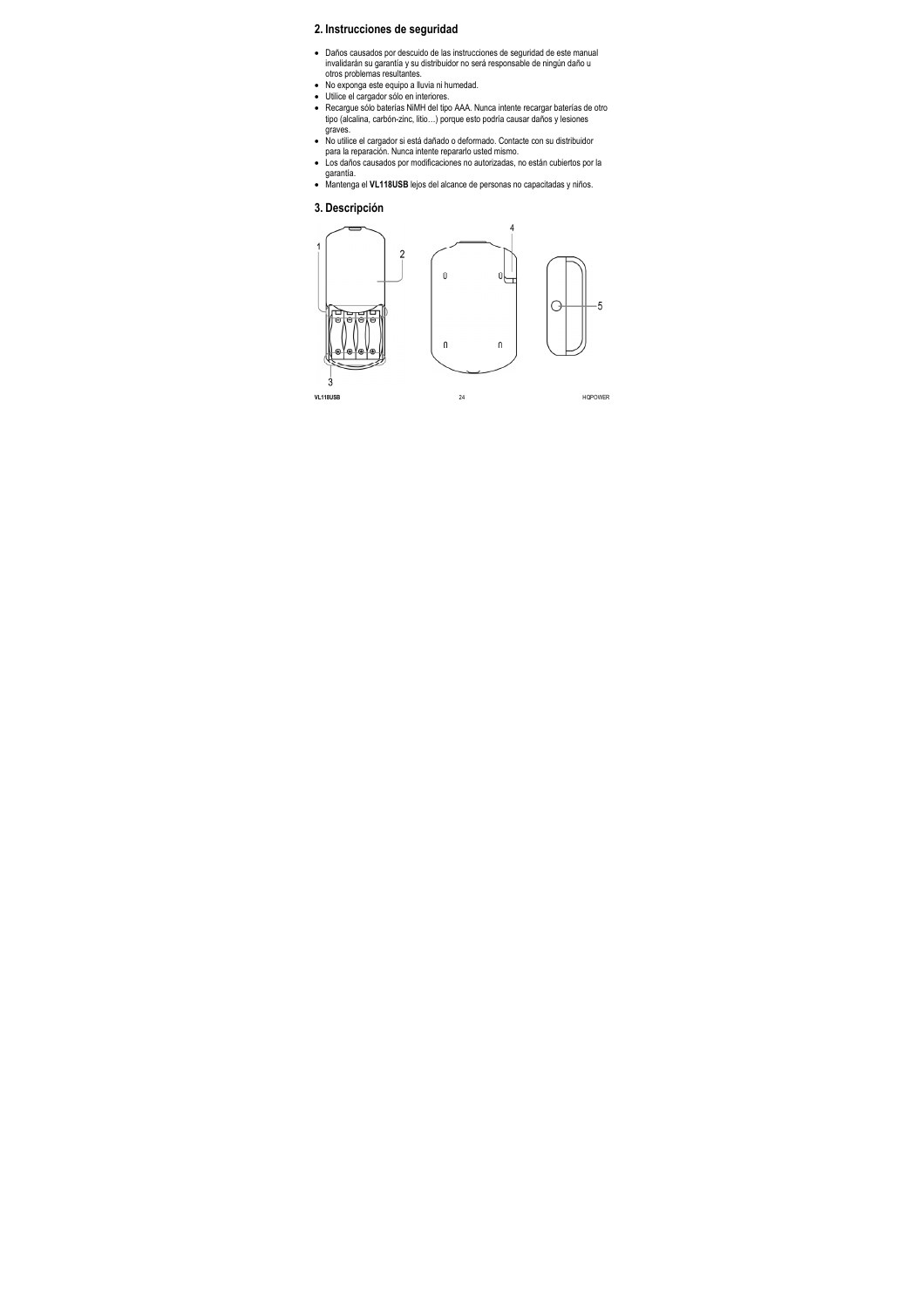# **2. Instrucciones de seguridad**

- Daños causados por descuido de las instrucciones de seguridad de este manual invalidarán su garantía y su distribuidor no será responsable de ningún daño u otros problemas resultantes.
- No exponga este equipo a lluvia ni humedad.
- Utilice el cargador sólo en interiores.
- Recargue sólo baterías NiMH del tipo AAA. Nunca intente recargar baterías de otro tipo (alcalina, carbón-zinc, litio…) porque esto podría causar daños y lesiones graves.
- No utilice el cargador si está dañado o deformado. Contacte con su distribuidor para la reparación. Nunca intente repararlo usted mismo.
- Los daños causados por modificaciones no autorizadas, no están cubiertos por la garantía.
- Mantenga el **VL118USB** lejos del alcance de personas no capacitadas y niños.

### **3. Descripción**

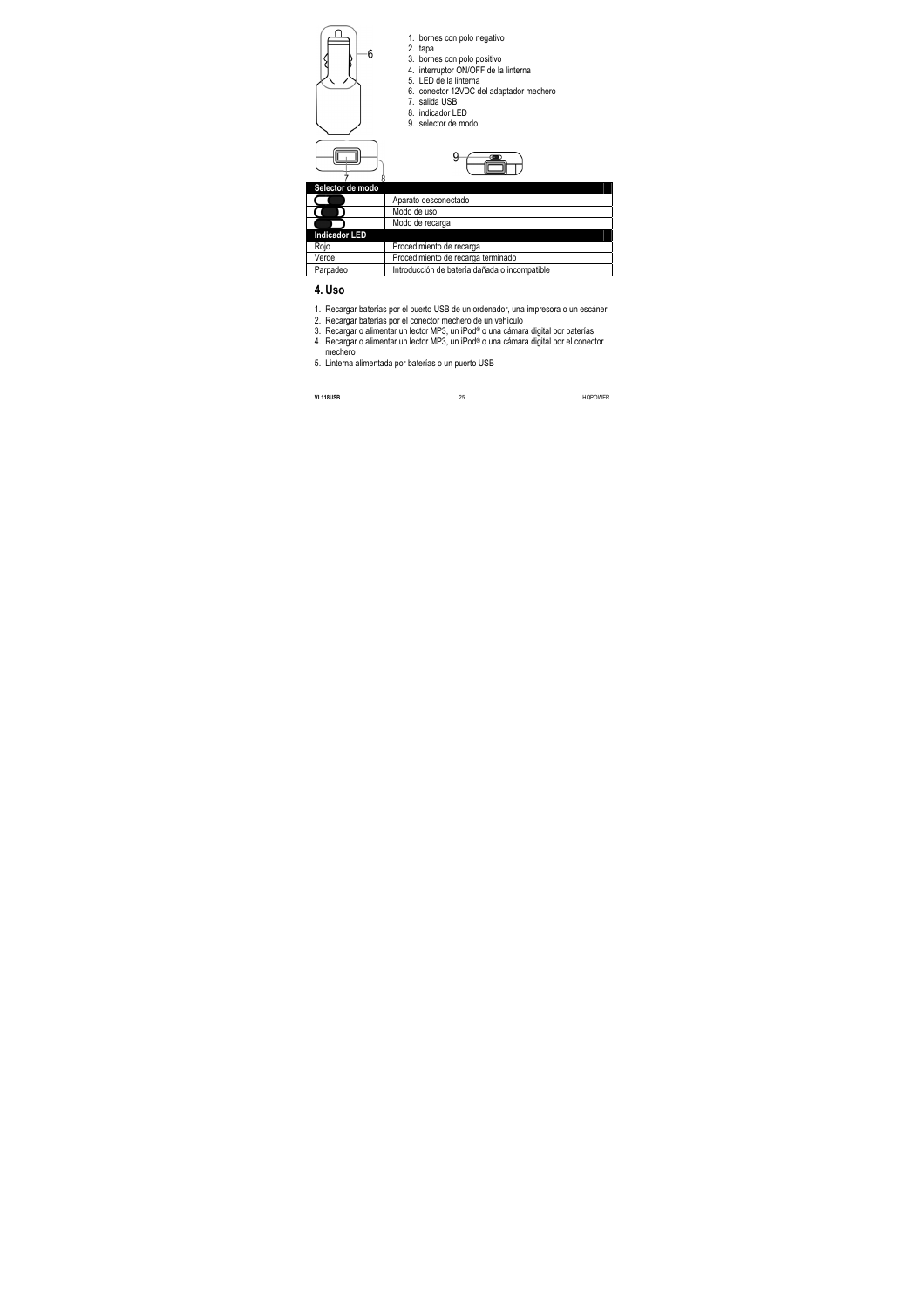



- 1. bornes con polo negativo
- 2. tapa
- 3. bornes con polo positivo
- 4. interruptor ON/OFF de la linterna
- 5. LED de la linterna
- 6. conector 12VDC del adaptador mechero
- 7. salida USB
- 8. indicador LED
- 9. selector de modo



| Selector de modo     |                                               |
|----------------------|-----------------------------------------------|
|                      | Aparato desconectado                          |
|                      | Modo de uso                                   |
|                      | Modo de recarga                               |
| <b>Indicador LED</b> |                                               |
| Rojo                 | Procedimiento de recarga                      |
| Verde                | Procedimiento de recarga terminado            |
| Parpadeo             | Introducción de batería dañada o incompatible |

# **4. Uso**

- 1. Recargar baterías por el puerto USB de un ordenador, una impresora o un escáner
- 2. Recargar baterías por el conector mechero de un vehículo
- 3. Recargar o alimentar un lector MP3, un iPod® o una cámara digital por baterías
- 4. Recargar o alimentar un lector MP3, un iPod® o una cámara digital por el conector mechero
- 5. Linterna alimentada por baterías o un puerto USB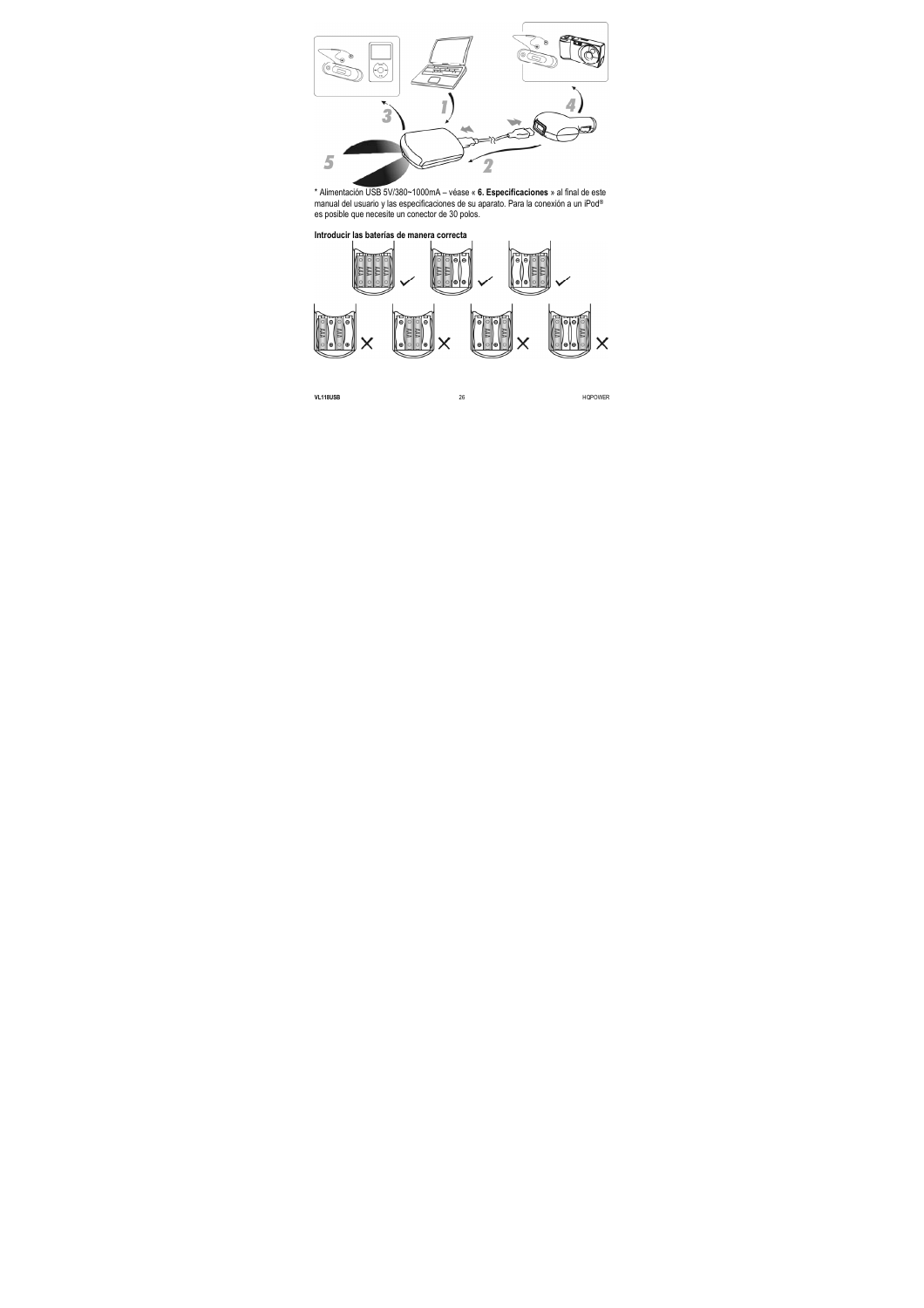

\* Alimentación USB 5V/380~1000mA – véase « **6. Especificaciones** » al final de este manual del usuario y las especificaciones de su aparato. Para la conexión a un iPod® es posible que necesite un conector de 30 polos.

#### **Introducir las baterías de manera correcta**

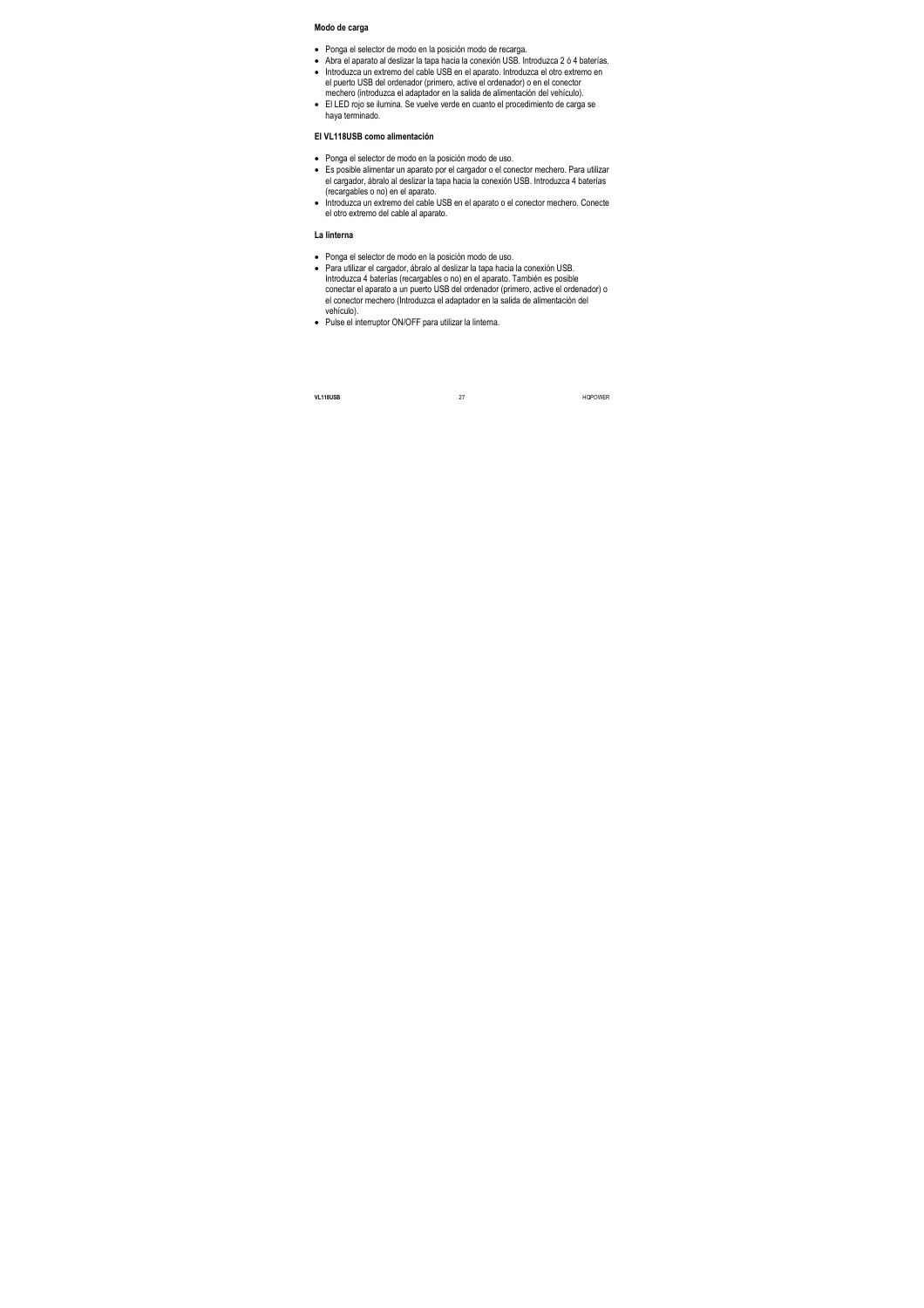#### **Modo de carga**

- Ponga el selector de modo en la posición modo de recarga.
- Abra el aparato al deslizar la tapa hacia la conexión USB. Introduzca 2 ó 4 baterías.
- Introduzca un extremo del cable USB en el aparato. Introduzca el otro extremo en el puerto USB del ordenador (primero, active el ordenador) o en el conector mechero (introduzca el adaptador en la salida de alimentación del vehículo).
- El LED rojo se ilumina. Se vuelve verde en cuanto el procedimiento de carga se haya terminado.

#### **El VL118USB como alimentación**

- Ponga el selector de modo en la posición modo de uso.
- Es posible alimentar un aparato por el cargador o el conector mechero. Para utilizar el cargador, ábralo al deslizar la tapa hacia la conexión USB. Introduzca 4 baterías (recargables o no) en el aparato.
- Introduzca un extremo del cable USB en el aparato o el conector mechero. Conecte el otro extremo del cable al aparato.

#### **La linterna**

- Ponga el selector de modo en la posición modo de uso.
- Para utilizar el cargador, ábralo al deslizar la tapa hacia la conexión USB. Introduzca 4 baterías (recargables o no) en el aparato. También es posible conectar el aparato a un puerto USB del ordenador (primero, active el ordenador) o el conector mechero (Introduzca el adaptador en la salida de alimentación del vehículo).
- Pulse el interruptor ON/OFF para utilizar la linterna.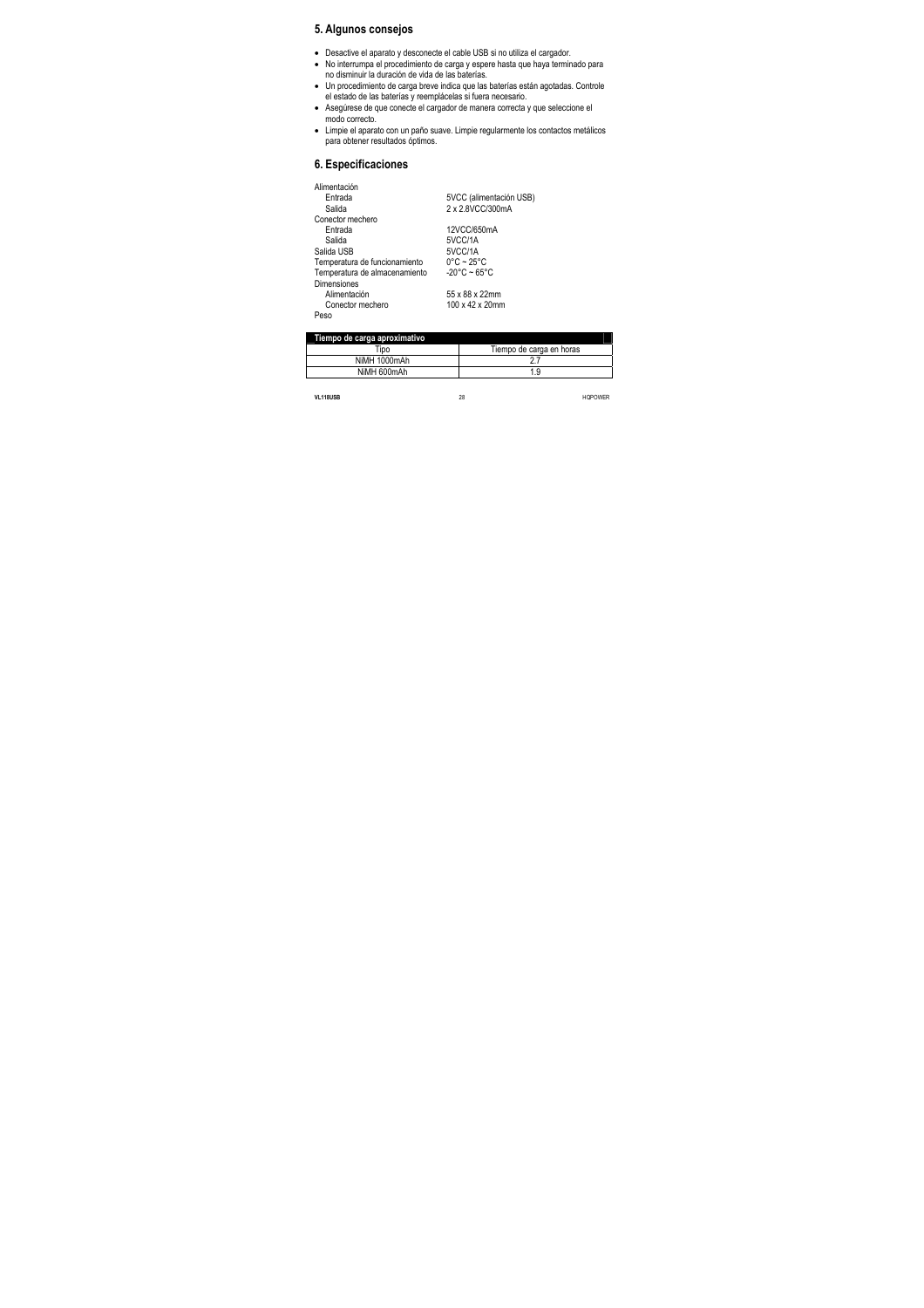# **5. Algunos consejos**

- Desactive el aparato y desconecte el cable USB si no utiliza el cargador.
- No interrumpa el procedimiento de carga y espere hasta que haya terminado para no disminuir la duración de vida de las baterías.
- Un procedimiento de carga breve indica que las baterías están agotadas. Controle el estado de las baterías y reemplácelas si fuera necesario.
- Asegúrese de que conecte el cargador de manera correcta y que seleccione el modo correcto.
- Limpie el aparato con un paño suave. Limpie regularmente los contactos metálicos para obtener resultados óptimos.

# **6. Especificaciones**

| Alimentación                  |                                 |
|-------------------------------|---------------------------------|
| Entrada                       | 5VCC (alimentación USB)         |
| Salida                        | 2 x 2.8VCC/300mA                |
| Conector mechero              |                                 |
| Entrada                       | 12VCC/650mA                     |
| Salida                        | 5VCC/1A                         |
| Salida USB                    | 5VCC/1A                         |
| Temperatura de funcionamiento | $0^{\circ}$ C ~ 25 $^{\circ}$ C |
| Temperatura de almacenamiento | $-20^{\circ}$ C ~ 65°C          |
| <b>Dimensiones</b>            |                                 |
| Alimentación                  | 55 x 88 x 22mm                  |
| Conector mechero              | 100 x 42 x 20mm                 |
| Peso                          |                                 |

| Tiempo de carga aproximativo |                          |  |
|------------------------------|--------------------------|--|
| "ipo                         | Tiempo de carga en horas |  |
| NiMH 1000mAh                 |                          |  |
| NiMH 600mAh                  | 1.9                      |  |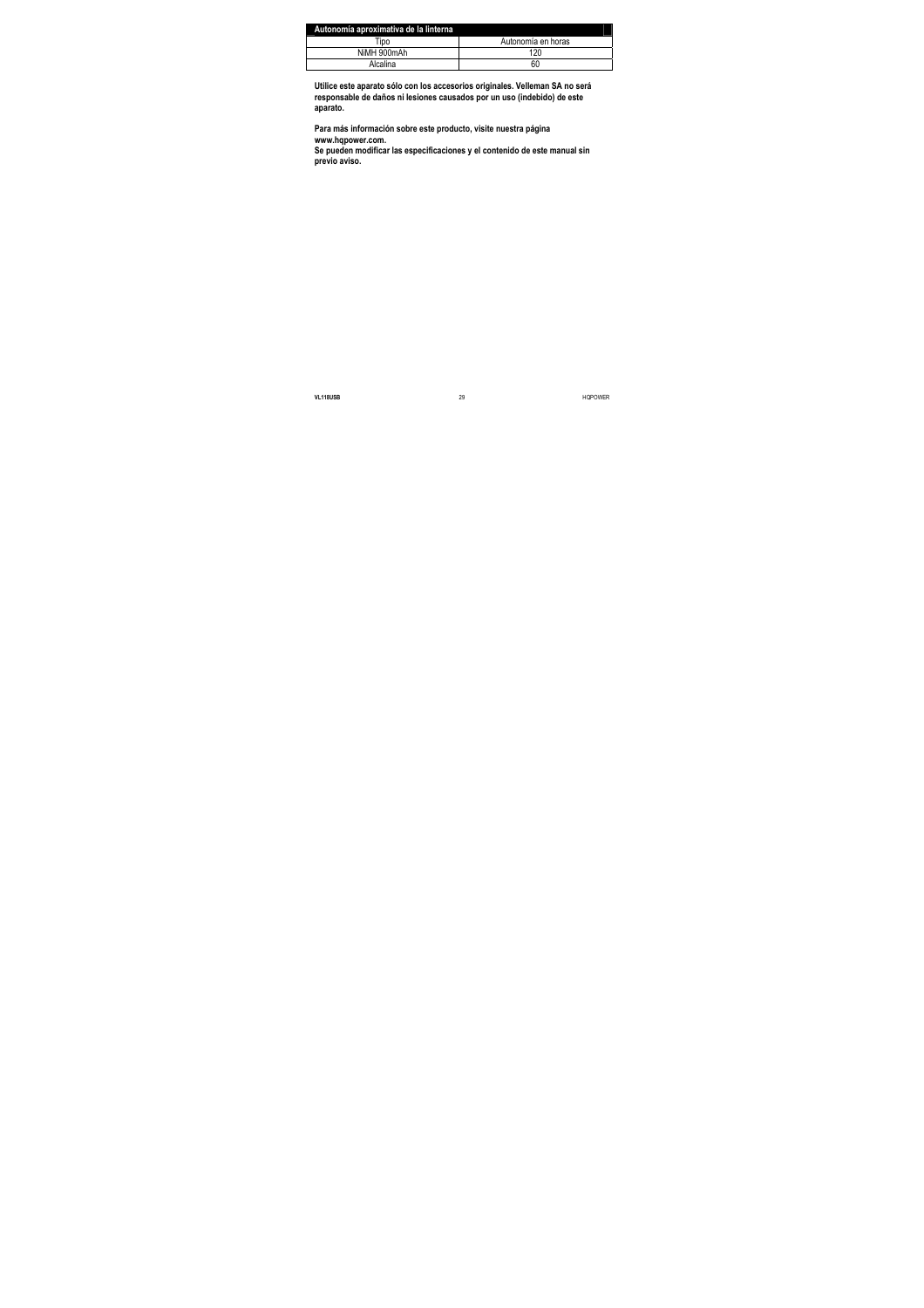| Autonomía aproximativa de la linterna |                    |
|---------------------------------------|--------------------|
| "ipo                                  | Autonomía en horas |
| NiMH 900mAh                           | 120                |
| Alcalina                              | 60                 |

**Utilice este aparato sólo con los accesorios originales. Velleman SA no será responsable de daños ni lesiones causados por un uso (indebido) de este aparato.** 

**Para más información sobre este producto, visite nuestra página www.hqpower.com.** 

**Se pueden modificar las especificaciones y el contenido de este manual sin previo aviso.**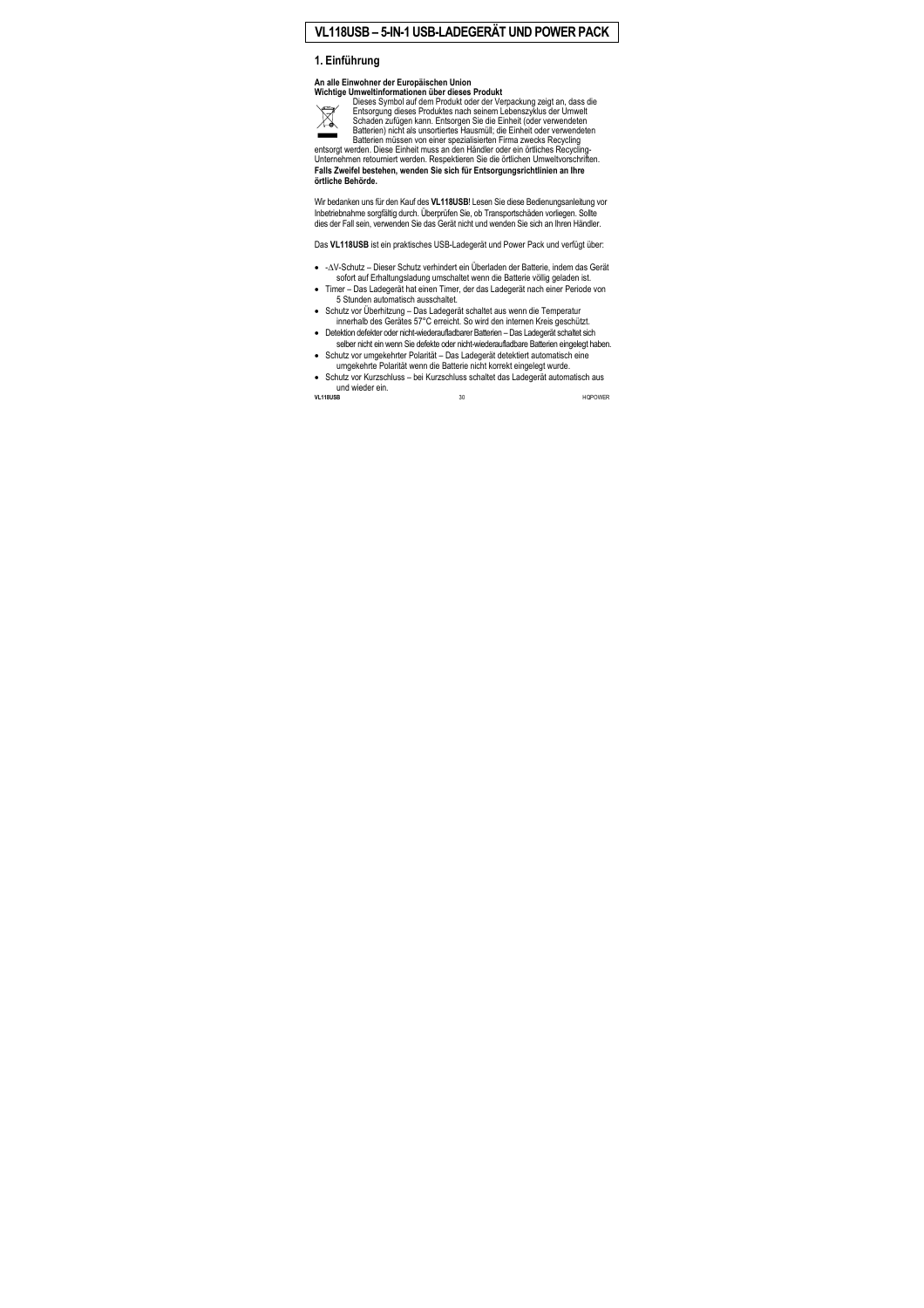# **VL118USB – 5-IN-1 USB-LADEGERÄT UND POWER PACK**

# **1. Einführung**

#### **An alle Einwohner der Europäischen Union Wichtige Umweltinformationen über dieses Produkt**



Dieses Symbol auf dem Produkt oder der Verpackung zeigt an, dass die Entsorgung dieses Produktes nach seinem Lebenszyklus der Umwelt Schaden zufügen kann. Entsorgen Sie die Einheit (oder verwendeten Batterien) nicht als unsortiertes Hausmüll; die Einheit oder verwendeten Batterien müssen von einer spezialisierten Firma zwecks Recycling

entsorgt werden. Diese Einheit muss an den Händler oder ein örtliches Recycling-Unternehmen retourniert werden. Respektieren Sie die örtlichen Umweltvorschriften. **Falls Zweifel bestehen, wenden Sie sich für Entsorgungsrichtlinien an Ihre örtliche Behörde.** 

Wir bedanken uns für den Kauf des **VL118USB**! Lesen Sie diese Bedienungsanleitung vor Inbetriebnahme sorgfältig durch. Überprüfen Sie, ob Transportschäden vorliegen. Sollte dies der Fall sein, verwenden Sie das Gerät nicht und wenden Sie sich an Ihren Händler.

Das **VL118USB** ist ein praktisches USB-Ladegerät und Power Pack und verfügt über:

- -∆V-Schutz Dieser Schutz verhindert ein Überladen der Batterie, indem das Gerät sofort auf Erhaltungsladung umschaltet wenn die Batterie völlig geladen ist.
- Timer Das Ladegerät hat einen Timer, der das Ladegerät nach einer Periode von 5 Stunden automatisch ausschaltet.
- Schutz vor Überhitzung Das Ladegerät schaltet aus wenn die Temperatur innerhalb des Gerätes 57°C erreicht. So wird den internen Kreis geschützt.
- Detektion defekter oder nicht-wiederaufladbarer Batterien Das Ladegerät schaltet sich selber nicht ein wenn Sie defekte oder nicht-wiederaufladbare Batterien eingelegt haben.
- Schutz vor umgekehrter Polarität Das Ladegerät detektiert automatisch eine umgekehrte Polarität wenn die Batterie nicht korrekt eingelegt wurde.
- Schutz vor Kurzschluss bei Kurzschluss schaltet das Ladegerät automatisch aus und wieder ein.<br>VL118USB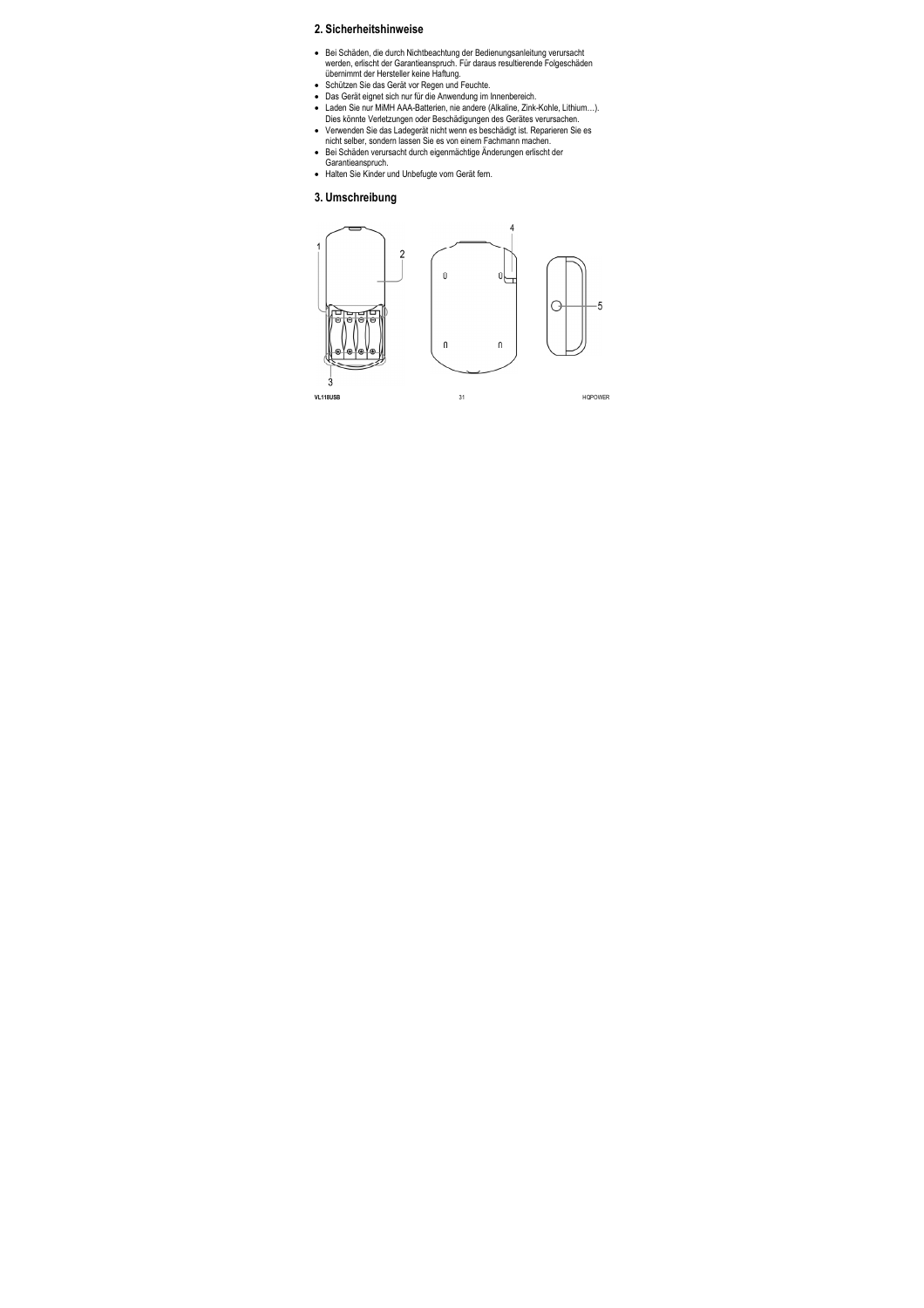# **2. Sicherheitshinweise**

- Bei Schäden, die durch Nichtbeachtung der Bedienungsanleitung verursacht werden, erlischt der Garantieanspruch. Für daraus resultierende Folgeschäden übernimmt der Hersteller keine Haftung.
- Schützen Sie das Gerät vor Regen und Feuchte.
- Das Gerät eignet sich nur für die Anwendung im Innenbereich.
- Laden Sie nur MiMH AAA-Batterien, nie andere (Alkaline, Zink-Kohle, Lithium…). Dies könnte Verletzungen oder Beschädigungen des Gerätes verursachen.
- Verwenden Sie das Ladegerät nicht wenn es beschädigt ist. Reparieren Sie es nicht selber, sondern lassen Sie es von einem Fachmann machen.
- Bei Schäden verursacht durch eigenmächtige Änderungen erlischt der Garantieanspruch.
- Halten Sie Kinder und Unbefugte vom Gerät fern.

### **3. Umschreibung**

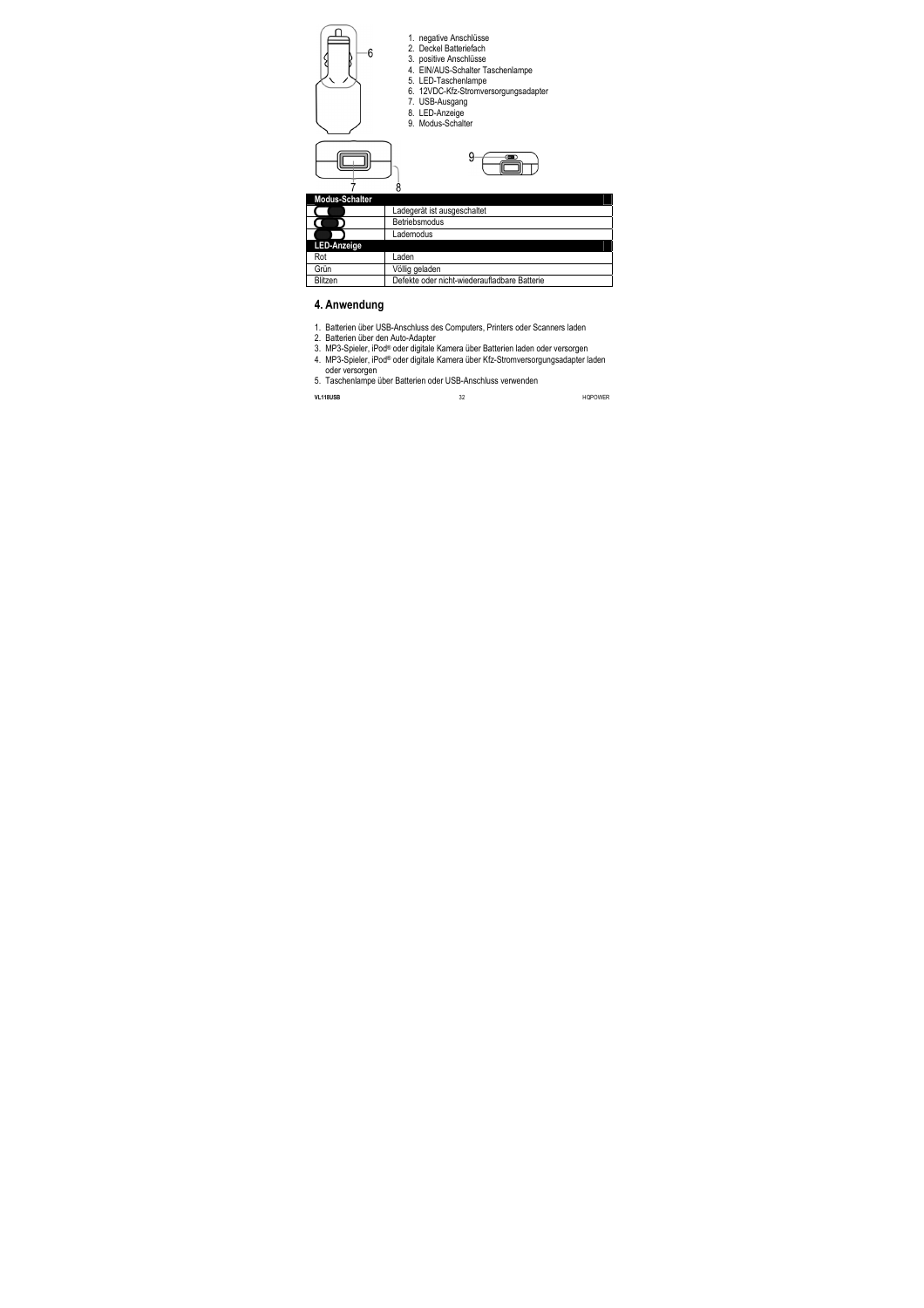



- 1. negative Anschlüsse
- 2. Deckel Batteriefach
- 3. positive Anschlüsse
- 4. EIN/AUS-Schalter Taschenlampe
- 5. LED-Taschenlampe
- 6. 12VDC-Kfz-Stromversorgungsadapter
- 7. USB-Ausgang
- 8. LED-Anzeige
- 9. Modus-Schalter



| <b>Modus-Schalter</b> |                                              |
|-----------------------|----------------------------------------------|
|                       | Ladegerät ist ausgeschaltet                  |
|                       | Betriebsmodus                                |
|                       | Lademodus                                    |
| LED-Anzeige           |                                              |
| Rot                   | Laden                                        |
| Grün                  | Völlig geladen                               |
| Blitzen               | Defekte oder nicht-wiederaufladbare Batterie |

# **4. Anwendung**

- 1. Batterien über USB-Anschluss des Computers, Printers oder Scanners laden
- 2. Batterien über den Auto-Adapter
- 3. MP3-Spieler, iPod® oder digitale Kamera über Batterien laden oder versorgen
- 4. MP3-Spieler, iPod® oder digitale Kamera über Kfz-Stromversorgungsadapter laden oder versorgen
- 5. Taschenlampe über Batterien oder USB-Anschluss verwenden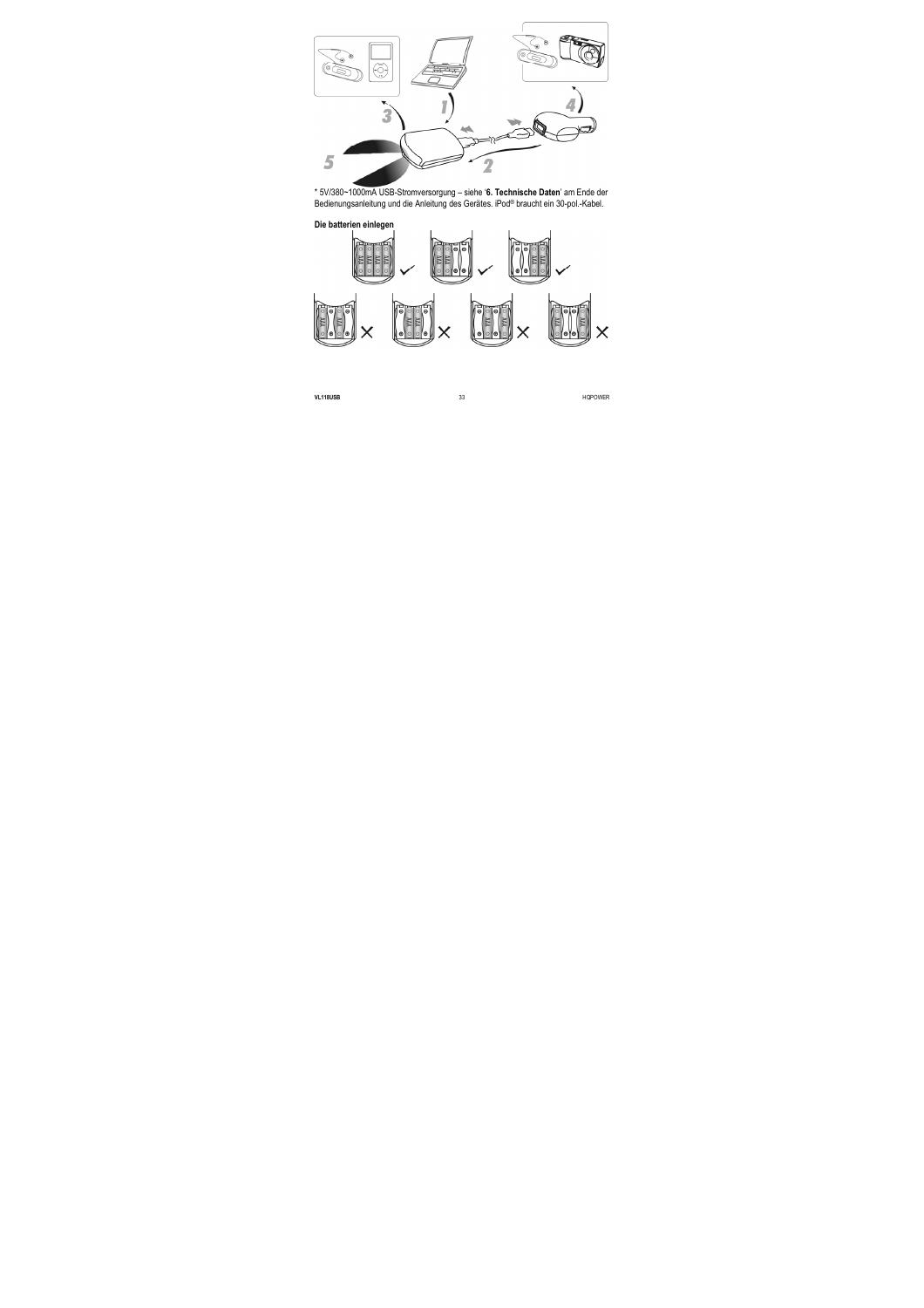

\* 5V/380~1000mA USB-Stromversorgung – siehe '**6. Technische Daten**' am Ende der Bedienungsanleitung und die Anleitung des Gerätes. iPod® braucht ein 30-pol.-Kabel.

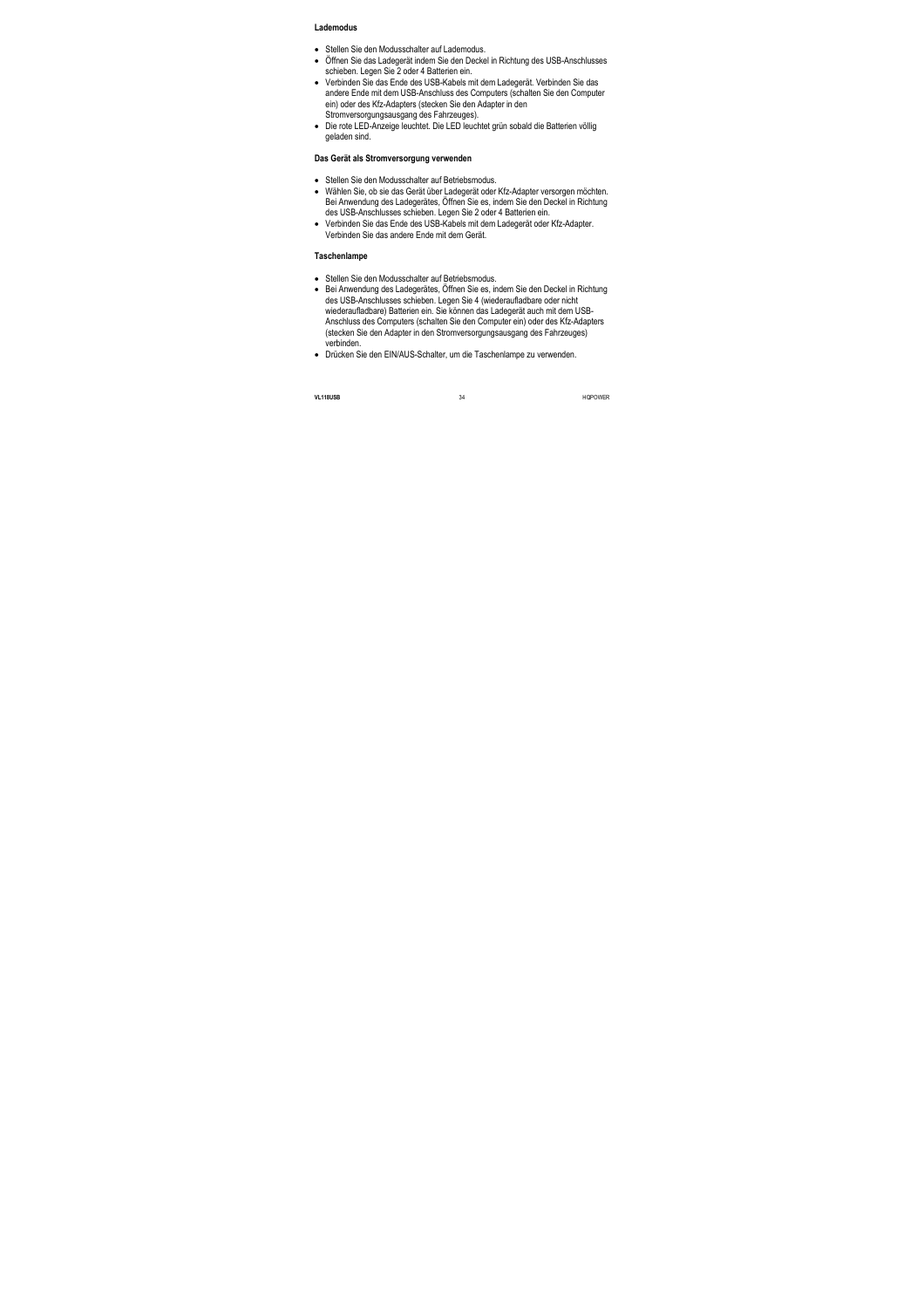#### **Lademodus**

- Stellen Sie den Modusschalter auf Lademodus
- Öffnen Sie das Ladegerät indem Sie den Deckel in Richtung des USB-Anschlusses schieben. Legen Sie 2 oder 4 Batterien ein.
- Verbinden Sie das Ende des USB-Kabels mit dem Ladegerät. Verbinden Sie das andere Ende mit dem USB-Anschluss des Computers (schalten Sie den Computer ein) oder des Kfz-Adapters (stecken Sie den Adapter in den Stromversorgungsausgang des Fahrzeuges).
- Die rote LED-Anzeige leuchtet. Die LED leuchtet grün sobald die Batterien völlig geladen sind.

#### **Das Gerät als Stromversorgung verwenden**

- Stellen Sie den Modusschalter auf Betriebsmodus.
- Wählen Sie, ob sie das Gerät über Ladegerät oder Kfz-Adapter versorgen möchten. Bei Anwendung des Ladegerätes, Öffnen Sie es, indem Sie den Deckel in Richtung des USB-Anschlusses schieben. Legen Sie 2 oder 4 Batterien ein.
- Verbinden Sie das Ende des USB-Kabels mit dem Ladegerät oder Kfz-Adapter. Verbinden Sie das andere Ende mit dem Gerät.

#### **Taschenlampe**

- Stellen Sie den Modusschalter auf Betriebsmodus.
- Bei Anwendung des Ladegerätes, Öffnen Sie es, indem Sie den Deckel in Richtung des USB-Anschlusses schieben. Legen Sie 4 (wiederaufladbare oder nicht wiederaufladbare) Batterien ein. Sie können das Ladegerät auch mit dem USB-Anschluss des Computers (schalten Sie den Computer ein) oder des Kfz-Adapters (stecken Sie den Adapter in den Stromversorgungsausgang des Fahrzeuges) verbinden.
- Drücken Sie den EIN/AUS-Schalter, um die Taschenlampe zu verwenden.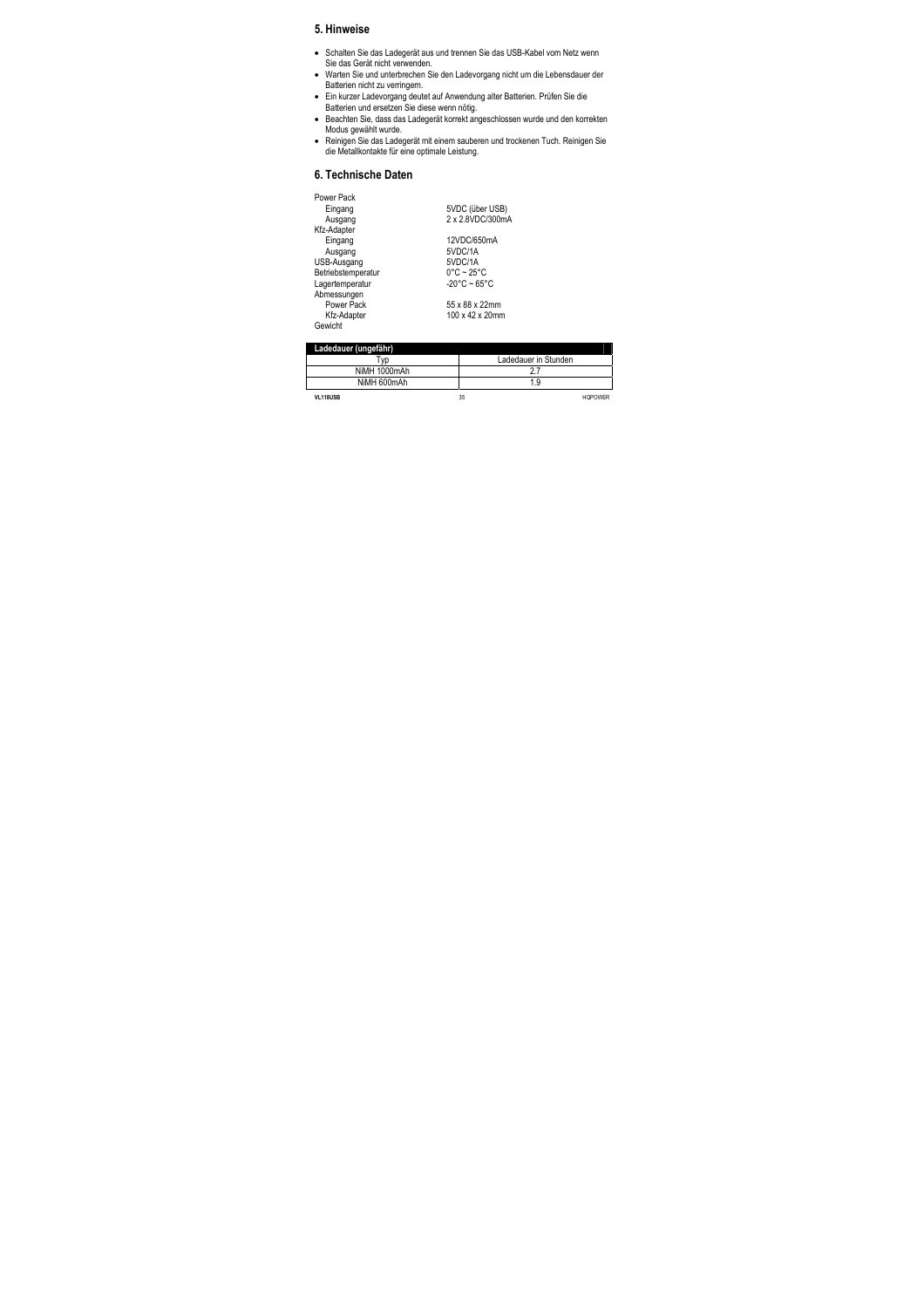# **5. Hinweise**

- Schalten Sie das Ladegerät aus und trennen Sie das USB-Kabel vom Netz wenn Sie das Gerät nicht verwenden.
- Warten Sie und unterbrechen Sie den Ladevorgang nicht um die Lebensdauer der Batterien nicht zu verringern.
- Ein kurzer Ladevorgang deutet auf Anwendung alter Batterien. Prüfen Sie die Batterien und ersetzen Sie diese wenn nötig.
- Beachten Sie, dass das Ladegerät korrekt angeschlossen wurde und den korrekten Modus gewählt wurde.
- Reinigen Sie das Ladegerät mit einem sauberen und trockenen Tuch. Reinigen Sie die Metallkontakte für eine optimale Leistung.

# **6. Technische Daten**

Power Pack

| Power Pack         |                                 |
|--------------------|---------------------------------|
| Eingang            | 5VDC (über USB)                 |
| Ausgang            | 2 x 2.8VDC/300mA                |
| Kfz-Adapter        |                                 |
| Eingang            | 12VDC/650mA                     |
| Ausgang            | 5VDC/1A                         |
| USB-Ausgang        | 5VDC/1A                         |
| Betriebstemperatur | $0^{\circ}$ C ~ 25 $^{\circ}$ C |
| Lagertemperatur    | $-20^{\circ}$ C ~ 65°C          |
| Abmessungen        |                                 |
| Power Pack         | 55 x 88 x 22mm                  |
| Kfz-Adapter        | 100 x 42 x 20mm                 |
| Gewicht            |                                 |
|                    |                                 |

| Ladedauer (ungefähr) |                      |
|----------------------|----------------------|
| v <sub>D</sub>       | Ladedauer in Stunden |
| NiMH 1000mAh         |                      |
| NiMH 600mAh          | 1.9                  |